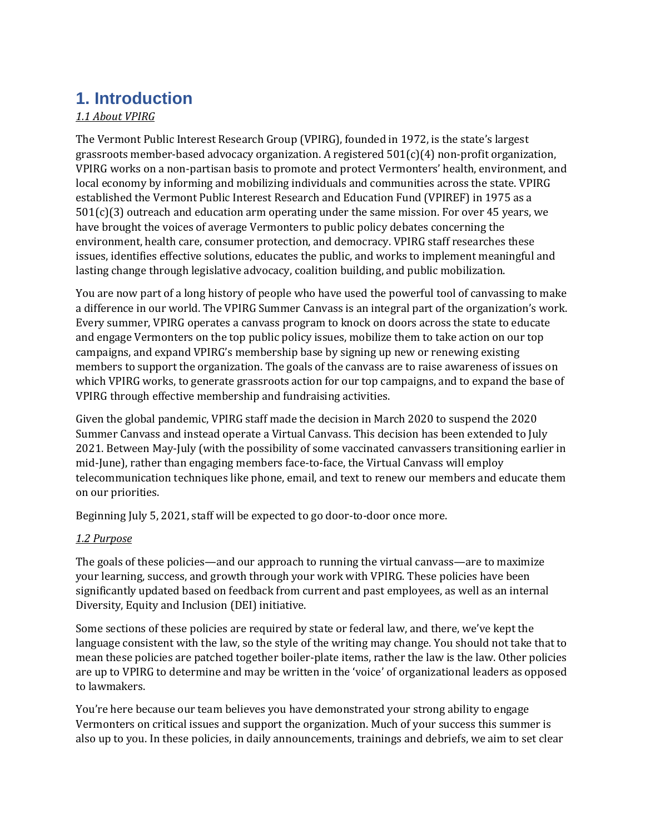# **1. Introduction**

### *1.1 About VPIRG*

The Vermont Public Interest Research Group (VPIRG), founded in 1972, is the state's largest grassroots member-based advocacy organization. A registered  $501(c)(4)$  non-profit organization, VPIRG works on a non-partisan basis to promote and protect Vermonters' health, environment, and local economy by informing and mobilizing individuals and communities across the state. VPIRG established the Vermont Public Interest Research and Education Fund (VPIREF) in 1975 as a  $501(c)(3)$  outreach and education arm operating under the same mission. For over 45 years, we have brought the voices of average Vermonters to public policy debates concerning the environment, health care, consumer protection, and democracy. VPIRG staff researches these issues, identifies effective solutions, educates the public, and works to implement meaningful and lasting change through legislative advocacy, coalition building, and public mobilization.

You are now part of a long history of people who have used the powerful tool of canvassing to make a difference in our world. The VPIRG Summer Canvass is an integral part of the organization's work. Every summer, VPIRG operates a canvass program to knock on doors across the state to educate and engage Vermonters on the top public policy issues, mobilize them to take action on our top campaigns, and expand VPIRG's membership base by signing up new or renewing existing members to support the organization. The goals of the canvass are to raise awareness of issues on which VPIRG works, to generate grassroots action for our top campaigns, and to expand the base of VPIRG through effective membership and fundraising activities.

Given the global pandemic, VPIRG staff made the decision in March 2020 to suspend the 2020 Summer Canvass and instead operate a Virtual Canvass. This decision has been extended to July 2021. Between May-July (with the possibility of some vaccinated canvassers transitioning earlier in mid-June), rather than engaging members face-to-face, the Virtual Canvass will employ telecommunication techniques like phone, email, and text to renew our members and educate them on our priorities.

Beginning July 5, 2021, staff will be expected to go door-to-door once more.

### *1.2 Purpose*

The goals of these policies—and our approach to running the virtual canvass—are to maximize your learning, success, and growth through your work with VPIRG. These policies have been significantly updated based on feedback from current and past employees, as well as an internal Diversity, Equity and Inclusion (DEI) initiative.

Some sections of these policies are required by state or federal law, and there, we've kept the language consistent with the law, so the style of the writing may change. You should not take that to mean these policies are patched together boiler-plate items, rather the law is the law. Other policies are up to VPIRG to determine and may be written in the 'voice' of organizational leaders as opposed to lawmakers.

You're here because our team believes you have demonstrated your strong ability to engage Vermonters on critical issues and support the organization. Much of your success this summer is also up to you. In these policies, in daily announcements, trainings and debriefs, we aim to set clear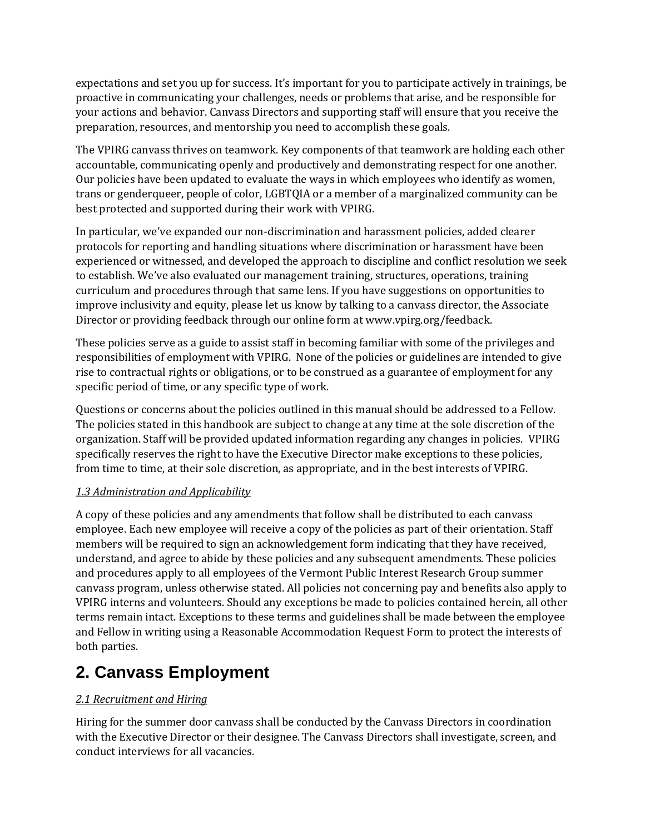expectations and set you up for success. It's important for you to participate actively in trainings, be proactive in communicating your challenges, needs or problems that arise, and be responsible for your actions and behavior. Canvass Directors and supporting staff will ensure that you receive the preparation, resources, and mentorship you need to accomplish these goals.

The VPIRG canvass thrives on teamwork. Key components of that teamwork are holding each other accountable, communicating openly and productively and demonstrating respect for one another. Our policies have been updated to evaluate the ways in which employees who identify as women, trans or genderqueer, people of color, LGBTQIA or a member of a marginalized community can be best protected and supported during their work with VPIRG.

In particular, we've expanded our non-discrimination and harassment policies, added clearer protocols for reporting and handling situations where discrimination or harassment have been experienced or witnessed, and developed the approach to discipline and conflict resolution we seek to establish. We've also evaluated our management training, structures, operations, training curriculum and procedures through that same lens. If you have suggestions on opportunities to improve inclusivity and equity, please let us know by talking to a canvass director, the Associate Director or providing feedback through our online form at www.vpirg.org/feedback.

These policies serve as a guide to assist staff in becoming familiar with some of the privileges and responsibilities of employment with VPIRG. None of the policies or guidelines are intended to give rise to contractual rights or obligations, or to be construed as a guarantee of employment for any specific period of time, or any specific type of work.

Questions or concerns about the policies outlined in this manual should be addressed to a Fellow. The policies stated in this handbook are subject to change at any time at the sole discretion of the organization. Staff will be provided updated information regarding any changes in policies. VPIRG specifically reserves the right to have the Executive Director make exceptions to these policies, from time to time, at their sole discretion, as appropriate, and in the best interests of VPIRG.

### *1.3 Administration and Applicability*

A copy of these policies and any amendments that follow shall be distributed to each canvass employee. Each new employee will receive a copy of the policies as part of their orientation. Staff members will be required to sign an acknowledgement form indicating that they have received, understand, and agree to abide by these policies and any subsequent amendments. These policies and procedures apply to all employees of the Vermont Public Interest Research Group summer canvass program, unless otherwise stated. All policies not concerning pay and benefits also apply to VPIRG interns and volunteers. Should any exceptions be made to policies contained herein, all other terms remain intact. Exceptions to these terms and guidelines shall be made between the employee and Fellow in writing using a Reasonable Accommodation Request Form to protect the interests of both parties.

# **2. Canvass Employment**

### *2.1 Recruitment and Hiring*

Hiring for the summer door canvass shall be conducted by the Canvass Directors in coordination with the Executive Director or their designee. The Canvass Directors shall investigate, screen, and conduct interviews for all vacancies*.*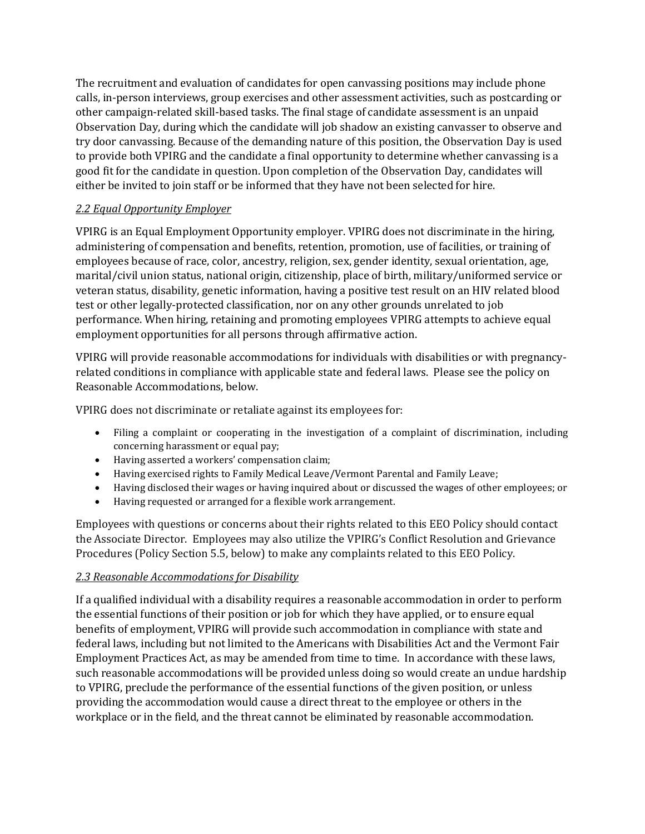The recruitment and evaluation of candidates for open canvassing positions may include phone calls, in-person interviews, group exercises and other assessment activities, such as postcarding or other campaign-related skill-based tasks. The final stage of candidate assessment is an unpaid Observation Day, during which the candidate will job shadow an existing canvasser to observe and try door canvassing. Because of the demanding nature of this position, the Observation Day is used to provide both VPIRG and the candidate a final opportunity to determine whether canvassing is a good fit for the candidate in question. Upon completion of the Observation Day, candidates will either be invited to join staff or be informed that they have not been selected for hire.

### *2.2 Equal Opportunity Employer*

VPIRG is an Equal Employment Opportunity employer. VPIRG does not discriminate in the hiring, administering of compensation and benefits, retention, promotion, use of facilities, or training of employees because of race, color, ancestry, religion, sex, gender identity, sexual orientation, age, marital/civil union status, national origin, citizenship, place of birth, military/uniformed service or veteran status, disability, genetic information, having a positive test result on an HIV related blood test or other legally-protected classification, nor on any other grounds unrelated to job performance. When hiring, retaining and promoting employees VPIRG attempts to achieve equal employment opportunities for all persons through affirmative action.

VPIRG will provide reasonable accommodations for individuals with disabilities or with pregnancyrelated conditions in compliance with applicable state and federal laws. Please see the policy on Reasonable Accommodations, below.

VPIRG does not discriminate or retaliate against its employees for:

- Filing a complaint or cooperating in the investigation of a complaint of discrimination, including concerning harassment or equal pay;
- Having asserted a workers' compensation claim;
- Having exercised rights to Family Medical Leave/Vermont Parental and Family Leave;
- Having disclosed their wages or having inquired about or discussed the wages of other employees; or
- Having requested or arranged for a flexible work arrangement.

Employees with questions or concerns about their rights related to this EEO Policy should contact the Associate Director. Employees may also utilize the VPIRG's Conflict Resolution and Grievance Procedures (Policy Section 5.5, below) to make any complaints related to this EEO Policy.

#### *2.3 Reasonable Accommodations for Disability*

If a qualified individual with a disability requires a reasonable accommodation in order to perform the essential functions of their position or job for which they have applied, or to ensure equal benefits of employment, VPIRG will provide such accommodation in compliance with state and federal laws, including but not limited to the Americans with Disabilities Act and the Vermont Fair Employment Practices Act, as may be amended from time to time. In accordance with these laws, such reasonable accommodations will be provided unless doing so would create an undue hardship to VPIRG, preclude the performance of the essential functions of the given position, or unless providing the accommodation would cause a direct threat to the employee or others in the workplace or in the field, and the threat cannot be eliminated by reasonable accommodation.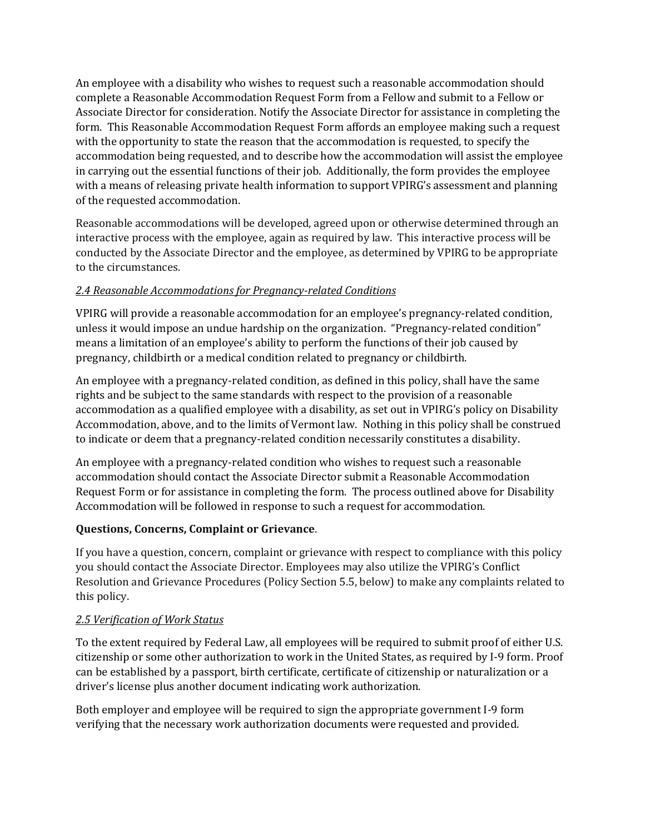An employee with a disability who wishes to request such a reasonable accommodation should complete a Reasonable Accommodation Request Form from a Fellow and submit to a Fellow or Associate Director for consideration. Notify the Associate Director for assistance in completing the form. This Reasonable Accommodation Request Form affords an employee making such a request with the opportunity to state the reason that the accommodation is requested, to specify the accommodation being requested, and to describe how the accommodation will assist the employee in carrying out the essential functions of their job. Additionally, the form provides the employee with a means of releasing private health information to support VPIRG's assessment and planning of the requested accommodation.

Reasonable accommodations will be developed, agreed upon or otherwise determined through an interactive process with the employee, again as required by law. This interactive process will be conducted by the Associate Director and the employee, as determined by VPIRG to be appropriate to the circumstances.

### *2.4 Reasonable Accommodations for Pregnancy-related Conditions*

VPIRG will provide a reasonable accommodation for an employee's pregnancy-related condition, unless it would impose an undue hardship on the organization. "Pregnancy-related condition" means a limitation of an employee's ability to perform the functions of their job caused by pregnancy, childbirth or a medical condition related to pregnancy or childbirth.

An employee with a pregnancy-related condition, as defined in this policy, shall have the same rights and be subject to the same standards with respect to the provision of a reasonable accommodation as a qualified employee with a disability, as set out in VPIRG's policy on Disability Accommodation, above, and to the limits of Vermont law. Nothing in this policy shall be construed to indicate or deem that a pregnancy-related condition necessarily constitutes a disability.

An employee with a pregnancy-related condition who wishes to request such a reasonable accommodation should contact the Associate Director submit a Reasonable Accommodation Request Form or for assistance in completing the form. The process outlined above for Disability Accommodation will be followed in response to such a request for accommodation.

### **Questions, Concerns, Complaint or Grievance**.

If you have a question, concern, complaint or grievance with respect to compliance with this policy you should contact the Associate Director. Employees may also utilize the VPIRG's Conflict Resolution and Grievance Procedures (Policy Section 5.5, below) to make any complaints related to this policy.

#### *2.5 Verification of Work Status*

To the extent required by Federal Law, all employees will be required to submit proof of either U.S. citizenship or some other authorization to work in the United States, as required by I-9 form. Proof can be established by a passport, birth certificate, certificate of citizenship or naturalization or a driver's license plus another document indicating work authorization.

Both employer and employee will be required to sign the appropriate government I-9 form verifying that the necessary work authorization documents were requested and provided.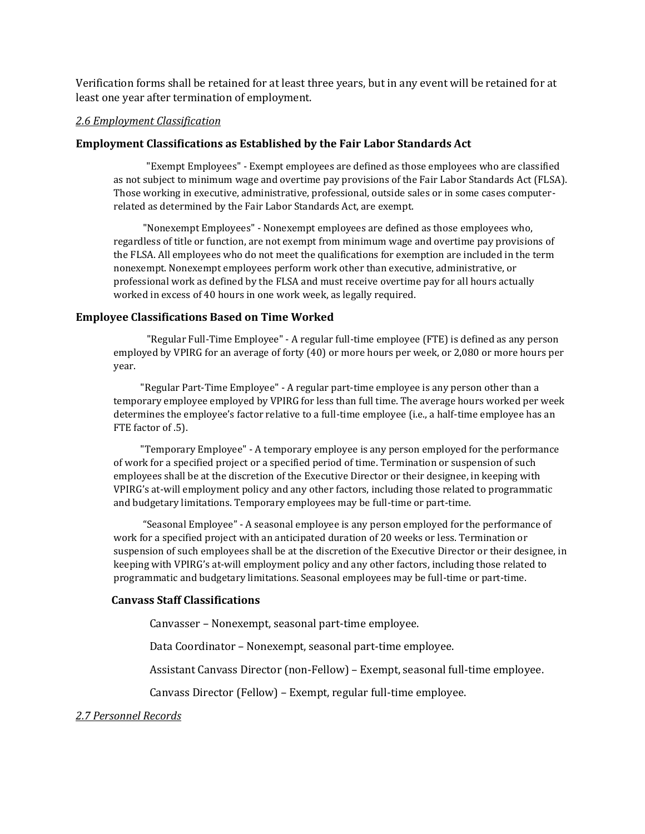Verification forms shall be retained for at least three years, but in any event will be retained for at least one year after termination of employment.

#### *2.6 Employment Classification*

#### **Employment Classifications as Established by the Fair Labor Standards Act**

 "Exempt Employees" - Exempt employees are defined as those employees who are classified as not subject to minimum wage and overtime pay provisions of the Fair Labor Standards Act (FLSA). Those working in executive, administrative, professional, outside sales or in some cases computerrelated as determined by the Fair Labor Standards Act, are exempt.

 "Nonexempt Employees" - Nonexempt employees are defined as those employees who, regardless of title or function, are not exempt from minimum wage and overtime pay provisions of the FLSA. All employees who do not meet the qualifications for exemption are included in the term nonexempt. Nonexempt employees perform work other than executive, administrative, or professional work as defined by the FLSA and must receive overtime pay for all hours actually worked in excess of 40 hours in one work week, as legally required.

#### **Employee Classifications Based on Time Worked**

 "Regular Full-Time Employee" - A regular full-time employee (FTE) is defined as any person employed by VPIRG for an average of forty (40) or more hours per week, or 2,080 or more hours per year.

 "Regular Part-Time Employee" - A regular part-time employee is any person other than a temporary employee employed by VPIRG for less than full time. The average hours worked per week determines the employee's factor relative to a full-time employee (i.e., a half-time employee has an FTE factor of .5).

 "Temporary Employee" - A temporary employee is any person employed for the performance of work for a specified project or a specified period of time. Termination or suspension of such employees shall be at the discretion of the Executive Director or their designee, in keeping with VPIRG's at-will employment policy and any other factors, including those related to programmatic and budgetary limitations. Temporary employees may be full-time or part-time.

 "Seasonal Employee" - A seasonal employee is any person employed for the performance of work for a specified project with an anticipated duration of 20 weeks or less. Termination or suspension of such employees shall be at the discretion of the Executive Director or their designee, in keeping with VPIRG's at-will employment policy and any other factors, including those related to programmatic and budgetary limitations. Seasonal employees may be full-time or part-time.

#### **Canvass Staff Classifications**

Canvasser – Nonexempt, seasonal part-time employee.

Data Coordinator – Nonexempt, seasonal part-time employee.

Assistant Canvass Director (non-Fellow) – Exempt, seasonal full-time employee.

Canvass Director (Fellow) – Exempt, regular full-time employee.

*2.7 Personnel Records*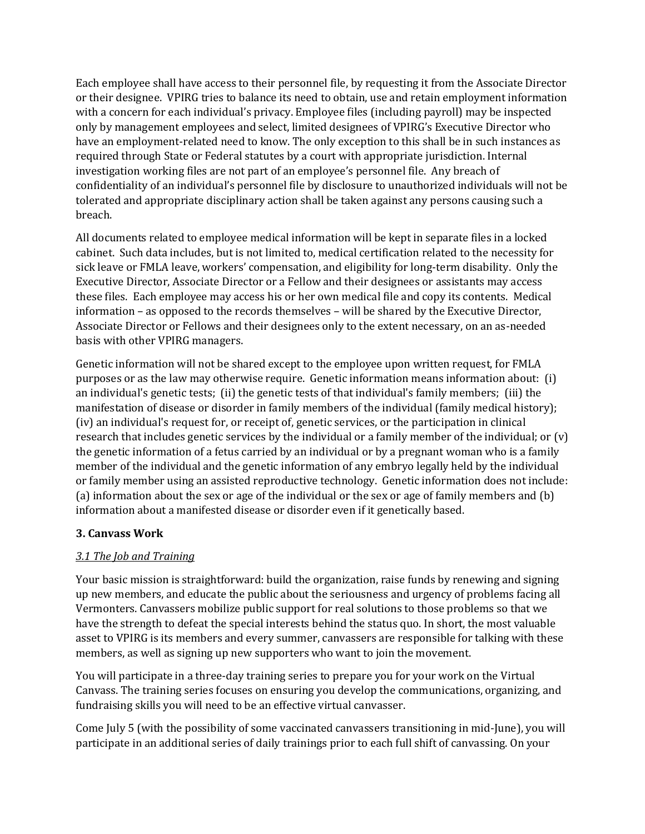Each employee shall have access to their personnel file, by requesting it from the Associate Director or their designee. VPIRG tries to balance its need to obtain, use and retain employment information with a concern for each individual's privacy. Employee files (including payroll) may be inspected only by management employees and select, limited designees of VPIRG's Executive Director who have an employment-related need to know. The only exception to this shall be in such instances as required through State or Federal statutes by a court with appropriate jurisdiction. Internal investigation working files are not part of an employee's personnel file. Any breach of confidentiality of an individual's personnel file by disclosure to unauthorized individuals will not be tolerated and appropriate disciplinary action shall be taken against any persons causing such a breach.

All documents related to employee medical information will be kept in separate files in a locked cabinet. Such data includes, but is not limited to, medical certification related to the necessity for sick leave or FMLA leave, workers' compensation, and eligibility for long-term disability. Only the Executive Director, Associate Director or a Fellow and their designees or assistants may access these files. Each employee may access his or her own medical file and copy its contents. Medical information – as opposed to the records themselves – will be shared by the Executive Director, Associate Director or Fellows and their designees only to the extent necessary, on an as-needed basis with other VPIRG managers.

Genetic information will not be shared except to the employee upon written request, for FMLA purposes or as the law may otherwise require. Genetic information means information about: (i) an individual's genetic tests; (ii) the genetic tests of that individual's family members; (iii) the manifestation of disease or disorder in family members of the individual (family medical history); (iv) an individual's request for, or receipt of, genetic services, or the participation in clinical research that includes genetic services by the individual or a family member of the individual; or (v) the genetic information of a fetus carried by an individual or by a pregnant woman who is a family member of the individual and the genetic information of any embryo legally held by the individual or family member using an assisted reproductive technology. Genetic information does not include: (a) information about the sex or age of the individual or the sex or age of family members and (b) information about a manifested disease or disorder even if it genetically based.

### **3. Canvass Work**

### *3.1 The Job and Training*

Your basic mission is straightforward: build the organization, raise funds by renewing and signing up new members, and educate the public about the seriousness and urgency of problems facing all Vermonters. Canvassers mobilize public support for real solutions to those problems so that we have the strength to defeat the special interests behind the status quo. In short, the most valuable asset to VPIRG is its members and every summer, canvassers are responsible for talking with these members, as well as signing up new supporters who want to join the movement.

You will participate in a three-day training series to prepare you for your work on the Virtual Canvass. The training series focuses on ensuring you develop the communications, organizing, and fundraising skills you will need to be an effective virtual canvasser.

Come July 5 (with the possibility of some vaccinated canvassers transitioning in mid-June), you will participate in an additional series of daily trainings prior to each full shift of canvassing. On your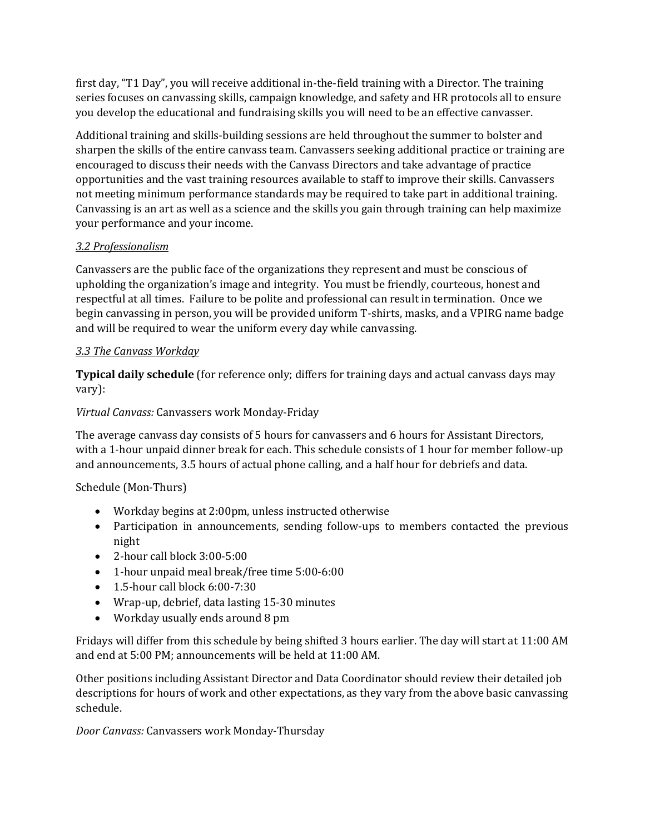first day, "T1 Day", you will receive additional in-the-field training with a Director. The training series focuses on canvassing skills, campaign knowledge, and safety and HR protocols all to ensure you develop the educational and fundraising skills you will need to be an effective canvasser.

Additional training and skills-building sessions are held throughout the summer to bolster and sharpen the skills of the entire canvass team. Canvassers seeking additional practice or training are encouraged to discuss their needs with the Canvass Directors and take advantage of practice opportunities and the vast training resources available to staff to improve their skills. Canvassers not meeting minimum performance standards may be required to take part in additional training. Canvassing is an art as well as a science and the skills you gain through training can help maximize your performance and your income.

## *3.2 Professionalism*

Canvassers are the public face of the organizations they represent and must be conscious of upholding the organization's image and integrity. You must be friendly, courteous, honest and respectful at all times. Failure to be polite and professional can result in termination. Once we begin canvassing in person, you will be provided uniform T-shirts, masks, and a VPIRG name badge and will be required to wear the uniform every day while canvassing.

# *3.3 The Canvass Workday*

**Typical daily schedule** (for reference only; differs for training days and actual canvass days may vary):

## *Virtual Canvass:* Canvassers work Monday-Friday

The average canvass day consists of 5 hours for canvassers and 6 hours for Assistant Directors, with a 1-hour unpaid dinner break for each. This schedule consists of 1 hour for member follow-up and announcements, 3.5 hours of actual phone calling, and a half hour for debriefs and data.

Schedule (Mon-Thurs)

- Workday begins at 2:00pm, unless instructed otherwise
- Participation in announcements, sending follow-ups to members contacted the previous night
- 2-hour call block 3:00-5:00
- 1-hour unpaid meal break/free time 5:00-6:00
- $\bullet$  1.5-hour call block 6:00-7:30
- Wrap-up, debrief, data lasting 15-30 minutes
- Workday usually ends around 8 pm

Fridays will differ from this schedule by being shifted 3 hours earlier. The day will start at 11:00 AM and end at 5:00 PM; announcements will be held at 11:00 AM.

Other positions including Assistant Director and Data Coordinator should review their detailed job descriptions for hours of work and other expectations, as they vary from the above basic canvassing schedule.

*Door Canvass:* Canvassers work Monday-Thursday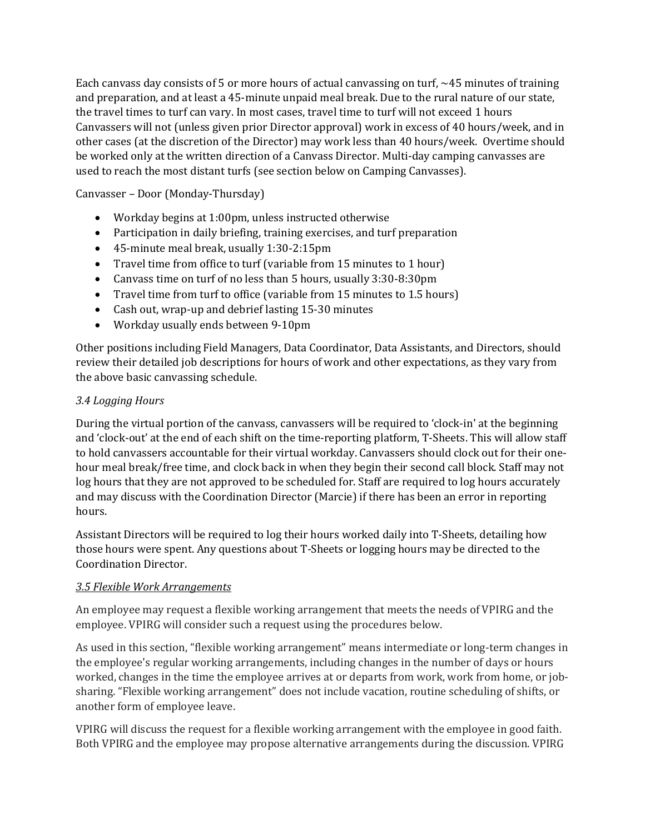Each canvass day consists of 5 or more hours of actual canvassing on turf,  $\sim$ 45 minutes of training and preparation, and at least a 45-minute unpaid meal break. Due to the rural nature of our state, the travel times to turf can vary. In most cases, travel time to turf will not exceed 1 hours Canvassers will not (unless given prior Director approval) work in excess of 40 hours/week, and in other cases (at the discretion of the Director) may work less than 40 hours/week. Overtime should be worked only at the written direction of a Canvass Director. Multi-day camping canvasses are used to reach the most distant turfs (see section below on Camping Canvasses).

Canvasser – Door (Monday-Thursday)

- Workday begins at 1:00pm, unless instructed otherwise
- Participation in daily briefing, training exercises, and turf preparation
- 45-minute meal break, usually 1:30-2:15pm
- Travel time from office to turf (variable from 15 minutes to 1 hour)
- Canvass time on turf of no less than 5 hours, usually 3:30-8:30pm
- Travel time from turf to office (variable from 15 minutes to 1.5 hours)
- Cash out, wrap-up and debrief lasting 15-30 minutes
- Workday usually ends between 9-10pm

Other positions including Field Managers, Data Coordinator, Data Assistants, and Directors, should review their detailed job descriptions for hours of work and other expectations, as they vary from the above basic canvassing schedule.

### *3.4 Logging Hours*

During the virtual portion of the canvass, canvassers will be required to 'clock-in' at the beginning and 'clock-out' at the end of each shift on the time-reporting platform, T-Sheets. This will allow staff to hold canvassers accountable for their virtual workday. Canvassers should clock out for their onehour meal break/free time, and clock back in when they begin their second call block. Staff may not log hours that they are not approved to be scheduled for. Staff are required to log hours accurately and may discuss with the Coordination Director (Marcie) if there has been an error in reporting hours.

Assistant Directors will be required to log their hours worked daily into T-Sheets, detailing how those hours were spent. Any questions about T-Sheets or logging hours may be directed to the Coordination Director.

### *3.5 Flexible Work Arrangements*

An employee may request a flexible working arrangement that meets the needs of VPIRG and the employee. VPIRG will consider such a request using the procedures below.

As used in this section, "flexible working arrangement" means intermediate or long-term changes in the employee's regular working arrangements, including changes in the number of days or hours worked, changes in the time the employee arrives at or departs from work, work from home, or jobsharing. "Flexible working arrangement" does not include vacation, routine scheduling of shifts, or another form of employee leave.

VPIRG will discuss the request for a flexible working arrangement with the employee in good faith. Both VPIRG and the employee may propose alternative arrangements during the discussion. VPIRG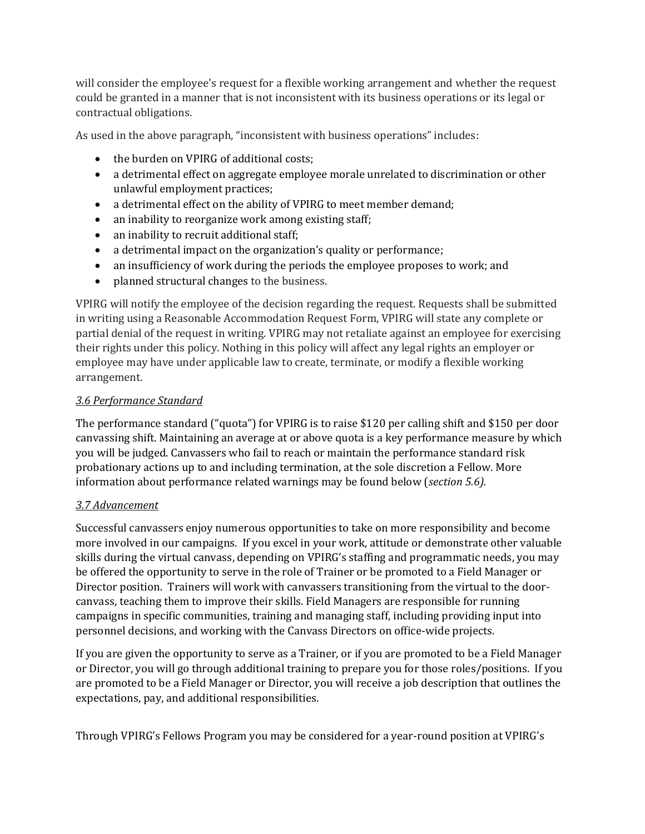will consider the employee's request for a flexible working arrangement and whether the request could be granted in a manner that is not inconsistent with its business operations or its legal or contractual obligations.

As used in the above paragraph, "inconsistent with business operations" includes:

- the burden on VPIRG of additional costs:
- a detrimental effect on aggregate employee morale unrelated to discrimination or other unlawful employment practices;
- a detrimental effect on the ability of VPIRG to meet member demand;
- an inability to reorganize work among existing staff;
- an inability to recruit additional staff;
- a detrimental impact on the organization's quality or performance;
- an insufficiency of work during the periods the employee proposes to work; and
- planned structural changes to the business.

VPIRG will notify the employee of the decision regarding the request. Requests shall be submitted in writing using a Reasonable Accommodation Request Form, VPIRG will state any complete or partial denial of the request in writing. VPIRG may not retaliate against an employee for exercising their rights under this policy. Nothing in this policy will affect any legal rights an employer or employee may have under applicable law to create, terminate, or modify a flexible working arrangement.

#### *3.6 Performance Standard*

The performance standard ("quota") for VPIRG is to raise \$120 per calling shift and \$150 per door canvassing shift. Maintaining an average at or above quota is a key performance measure by which you will be judged. Canvassers who fail to reach or maintain the performance standard risk probationary actions up to and including termination, at the sole discretion a Fellow. More information about performance related warnings may be found below (*section 5.6).*

#### *3.7 Advancement*

Successful canvassers enjoy numerous opportunities to take on more responsibility and become more involved in our campaigns. If you excel in your work, attitude or demonstrate other valuable skills during the virtual canvass, depending on VPIRG's staffing and programmatic needs, you may be offered the opportunity to serve in the role of Trainer or be promoted to a Field Manager or Director position. Trainers will work with canvassers transitioning from the virtual to the doorcanvass, teaching them to improve their skills. Field Managers are responsible for running campaigns in specific communities, training and managing staff, including providing input into personnel decisions, and working with the Canvass Directors on office-wide projects.

If you are given the opportunity to serve as a Trainer, or if you are promoted to be a Field Manager or Director, you will go through additional training to prepare you for those roles/positions. If you are promoted to be a Field Manager or Director, you will receive a job description that outlines the expectations, pay, and additional responsibilities.

Through VPIRG's Fellows Program you may be considered for a year-round position at VPIRG's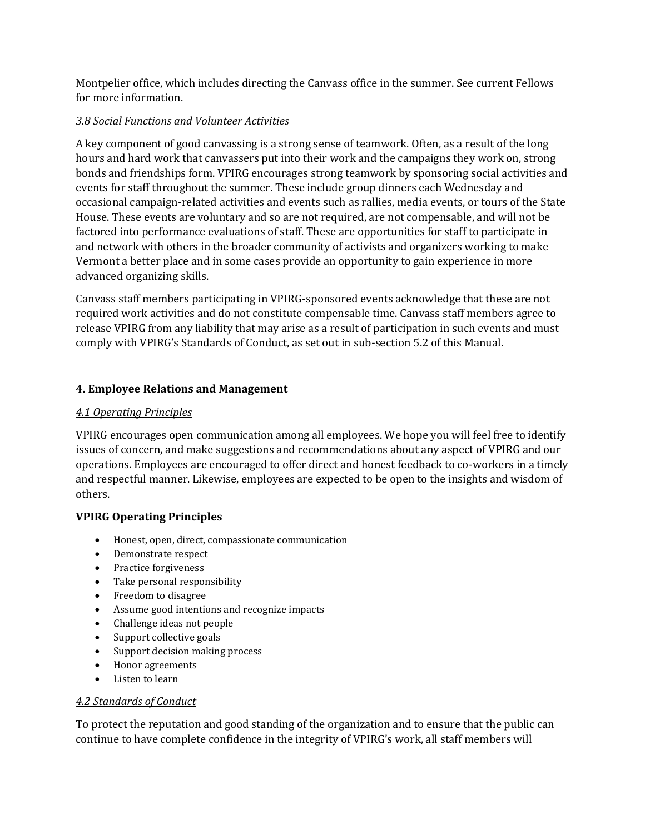Montpelier office, which includes directing the Canvass office in the summer. See current Fellows for more information.

#### *3.8 Social Functions and Volunteer Activities*

A key component of good canvassing is a strong sense of teamwork. Often, as a result of the long hours and hard work that canvassers put into their work and the campaigns they work on, strong bonds and friendships form. VPIRG encourages strong teamwork by sponsoring social activities and events for staff throughout the summer. These include group dinners each Wednesday and occasional campaign-related activities and events such as rallies, media events, or tours of the State House. These events are voluntary and so are not required, are not compensable, and will not be factored into performance evaluations of staff. These are opportunities for staff to participate in and network with others in the broader community of activists and organizers working to make Vermont a better place and in some cases provide an opportunity to gain experience in more advanced organizing skills.

Canvass staff members participating in VPIRG-sponsored events acknowledge that these are not required work activities and do not constitute compensable time. Canvass staff members agree to release VPIRG from any liability that may arise as a result of participation in such events and must comply with VPIRG's Standards of Conduct, as set out in sub-section 5.2 of this Manual.

### **4. Employee Relations and Management**

### *4.1 Operating Principles*

VPIRG encourages open communication among all employees. We hope you will feel free to identify issues of concern, and make suggestions and recommendations about any aspect of VPIRG and our operations. Employees are encouraged to offer direct and honest feedback to co-workers in a timely and respectful manner. Likewise, employees are expected to be open to the insights and wisdom of others.

### **VPIRG Operating Principles**

- Honest, open, direct, compassionate communication
- Demonstrate respect
- Practice forgiveness
- Take personal responsibility
- Freedom to disagree
- Assume good intentions and recognize impacts
- Challenge ideas not people
- Support collective goals
- Support decision making process
- Honor agreements
- Listen to learn

### *4.2 Standards of Conduct*

To protect the reputation and good standing of the organization and to ensure that the public can continue to have complete confidence in the integrity of VPIRG's work, all staff members will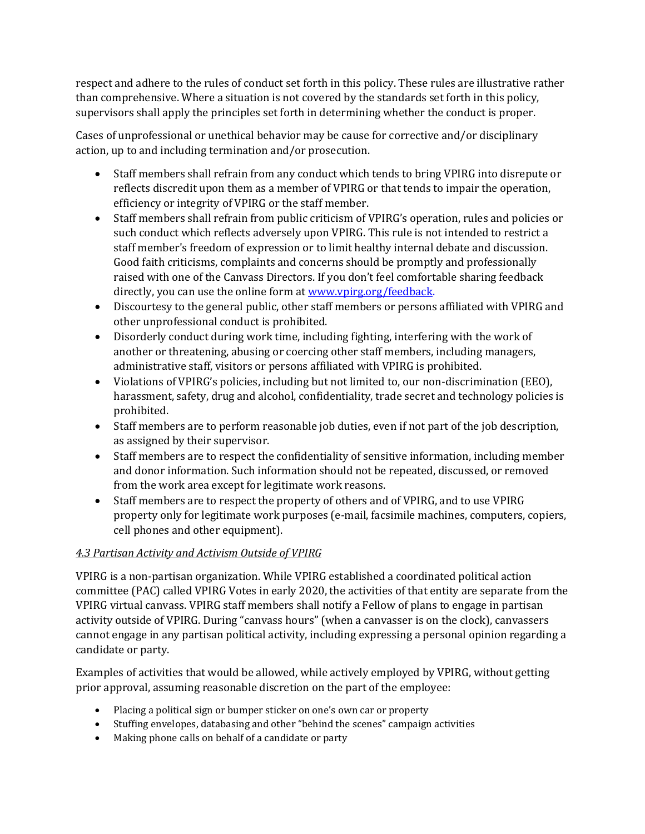respect and adhere to the rules of conduct set forth in this policy. These rules are illustrative rather than comprehensive. Where a situation is not covered by the standards set forth in this policy, supervisors shall apply the principles set forth in determining whether the conduct is proper.

Cases of unprofessional or unethical behavior may be cause for corrective and/or disciplinary action, up to and including termination and/or prosecution.

- Staff members shall refrain from any conduct which tends to bring VPIRG into disrepute or reflects discredit upon them as a member of VPIRG or that tends to impair the operation, efficiency or integrity of VPIRG or the staff member.
- Staff members shall refrain from public criticism of VPIRG's operation, rules and policies or such conduct which reflects adversely upon VPIRG. This rule is not intended to restrict a staff member's freedom of expression or to limit healthy internal debate and discussion. Good faith criticisms, complaints and concerns should be promptly and professionally raised with one of the Canvass Directors. If you don't feel comfortable sharing feedback directly, you can use the online form at www.vpirg.org/feedback.
- Discourtesy to the general public, other staff members or persons affiliated with VPIRG and other unprofessional conduct is prohibited.
- Disorderly conduct during work time, including fighting, interfering with the work of another or threatening, abusing or coercing other staff members, including managers, administrative staff, visitors or persons affiliated with VPIRG is prohibited.
- Violations of VPIRG's policies, including but not limited to, our non-discrimination (EEO), harassment, safety, drug and alcohol, confidentiality, trade secret and technology policies is prohibited.
- Staff members are to perform reasonable job duties, even if not part of the job description, as assigned by their supervisor.
- Staff members are to respect the confidentiality of sensitive information, including member and donor information. Such information should not be repeated, discussed, or removed from the work area except for legitimate work reasons.
- Staff members are to respect the property of others and of VPIRG, and to use VPIRG property only for legitimate work purposes (e-mail, facsimile machines, computers, copiers, cell phones and other equipment).

# *4.3 Partisan Activity and Activism Outside of VPIRG*

VPIRG is a non-partisan organization. While VPIRG established a coordinated political action committee (PAC) called VPIRG Votes in early 2020, the activities of that entity are separate from the VPIRG virtual canvass. VPIRG staff members shall notify a Fellow of plans to engage in partisan activity outside of VPIRG. During "canvass hours" (when a canvasser is on the clock), canvassers cannot engage in any partisan political activity, including expressing a personal opinion regarding a candidate or party.

Examples of activities that would be allowed, while actively employed by VPIRG, without getting prior approval, assuming reasonable discretion on the part of the employee:

- Placing a political sign or bumper sticker on one's own car or property
- Stuffing envelopes, databasing and other "behind the scenes" campaign activities
- Making phone calls on behalf of a candidate or party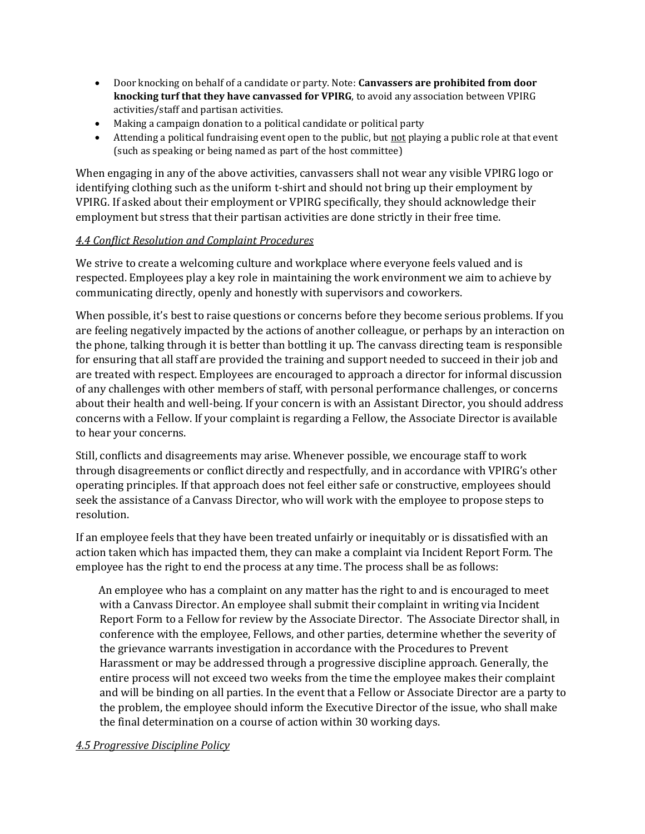- Door knocking on behalf of a candidate or party. Note: **Canvassers are prohibited from door knocking turf that they have canvassed for VPIRG**, to avoid any association between VPIRG activities/staff and partisan activities.
- Making a campaign donation to a political candidate or political party
- Attending a political fundraising event open to the public, but not playing a public role at that event (such as speaking or being named as part of the host committee)

When engaging in any of the above activities, canvassers shall not wear any visible VPIRG logo or identifying clothing such as the uniform t-shirt and should not bring up their employment by VPIRG. If asked about their employment or VPIRG specifically, they should acknowledge their employment but stress that their partisan activities are done strictly in their free time.

### *4.4 Conflict Resolution and Complaint Procedures*

We strive to create a welcoming culture and workplace where everyone feels valued and is respected. Employees play a key role in maintaining the work environment we aim to achieve by communicating directly, openly and honestly with supervisors and coworkers.

When possible, it's best to raise questions or concerns before they become serious problems. If you are feeling negatively impacted by the actions of another colleague, or perhaps by an interaction on the phone, talking through it is better than bottling it up. The canvass directing team is responsible for ensuring that all staff are provided the training and support needed to succeed in their job and are treated with respect. Employees are encouraged to approach a director for informal discussion of any challenges with other members of staff, with personal performance challenges, or concerns about their health and well-being. If your concern is with an Assistant Director, you should address concerns with a Fellow. If your complaint is regarding a Fellow, the Associate Director is available to hear your concerns.

Still, conflicts and disagreements may arise. Whenever possible, we encourage staff to work through disagreements or conflict directly and respectfully, and in accordance with VPIRG's other operating principles. If that approach does not feel either safe or constructive, employees should seek the assistance of a Canvass Director, who will work with the employee to propose steps to resolution.

If an employee feels that they have been treated unfairly or inequitably or is dissatisfied with an action taken which has impacted them, they can make a complaint via Incident Report Form. The employee has the right to end the process at any time. The process shall be as follows:

 An employee who has a complaint on any matter has the right to and is encouraged to meet with a Canvass Director. An employee shall submit their complaint in writing via Incident Report Form to a Fellow for review by the Associate Director. The Associate Director shall, in conference with the employee, Fellows, and other parties, determine whether the severity of the grievance warrants investigation in accordance with the Procedures to Prevent Harassment or may be addressed through a progressive discipline approach. Generally, the entire process will not exceed two weeks from the time the employee makes their complaint and will be binding on all parties. In the event that a Fellow or Associate Director are a party to the problem, the employee should inform the Executive Director of the issue, who shall make the final determination on a course of action within 30 working days.

#### *4.5 Progressive Discipline Policy*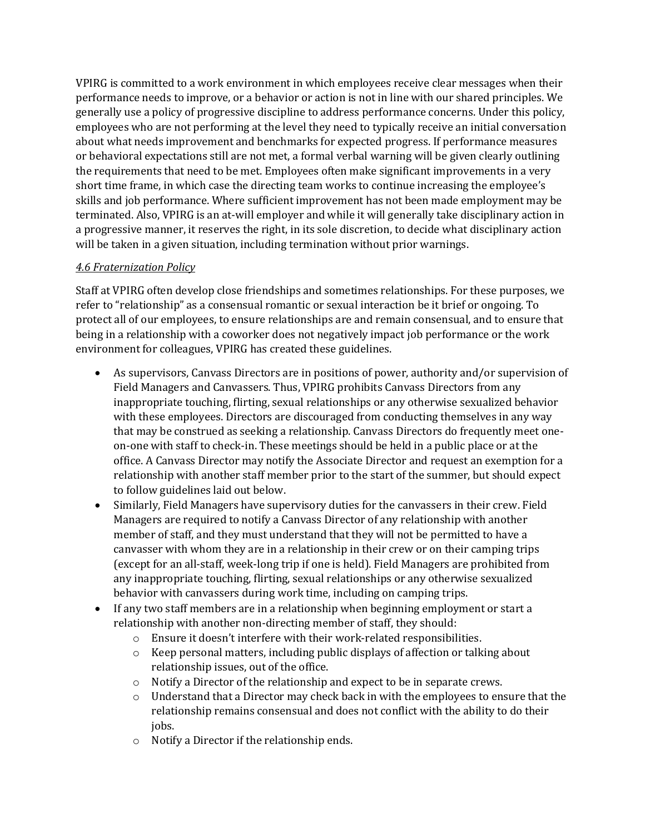VPIRG is committed to a work environment in which employees receive clear messages when their performance needs to improve, or a behavior or action is not in line with our shared principles. We generally use a policy of progressive discipline to address performance concerns. Under this policy, employees who are not performing at the level they need to typically receive an initial conversation about what needs improvement and benchmarks for expected progress. If performance measures or behavioral expectations still are not met, a formal verbal warning will be given clearly outlining the requirements that need to be met. Employees often make significant improvements in a very short time frame, in which case the directing team works to continue increasing the employee's skills and job performance. Where sufficient improvement has not been made employment may be terminated. Also, VPIRG is an at-will employer and while it will generally take disciplinary action in a progressive manner, it reserves the right, in its sole discretion, to decide what disciplinary action will be taken in a given situation, including termination without prior warnings.

### *4.6 Fraternization Policy*

Staff at VPIRG often develop close friendships and sometimes relationships. For these purposes, we refer to "relationship" as a consensual romantic or sexual interaction be it brief or ongoing. To protect all of our employees, to ensure relationships are and remain consensual, and to ensure that being in a relationship with a coworker does not negatively impact job performance or the work environment for colleagues, VPIRG has created these guidelines.

- As supervisors, Canvass Directors are in positions of power, authority and/or supervision of Field Managers and Canvassers. Thus, VPIRG prohibits Canvass Directors from any inappropriate touching, flirting, sexual relationships or any otherwise sexualized behavior with these employees. Directors are discouraged from conducting themselves in any way that may be construed as seeking a relationship. Canvass Directors do frequently meet oneon-one with staff to check-in. These meetings should be held in a public place or at the office. A Canvass Director may notify the Associate Director and request an exemption for a relationship with another staff member prior to the start of the summer, but should expect to follow guidelines laid out below.
- Similarly, Field Managers have supervisory duties for the canvassers in their crew. Field Managers are required to notify a Canvass Director of any relationship with another member of staff, and they must understand that they will not be permitted to have a canvasser with whom they are in a relationship in their crew or on their camping trips (except for an all-staff, week-long trip if one is held). Field Managers are prohibited from any inappropriate touching, flirting, sexual relationships or any otherwise sexualized behavior with canvassers during work time, including on camping trips.
- If any two staff members are in a relationship when beginning employment or start a relationship with another non-directing member of staff, they should:
	- o Ensure it doesn't interfere with their work-related responsibilities.
	- $\circ$  Keep personal matters, including public displays of affection or talking about relationship issues, out of the office.
	- o Notify a Director of the relationship and expect to be in separate crews.
	- $\circ$  Understand that a Director may check back in with the employees to ensure that the relationship remains consensual and does not conflict with the ability to do their jobs.
	- o Notify a Director if the relationship ends.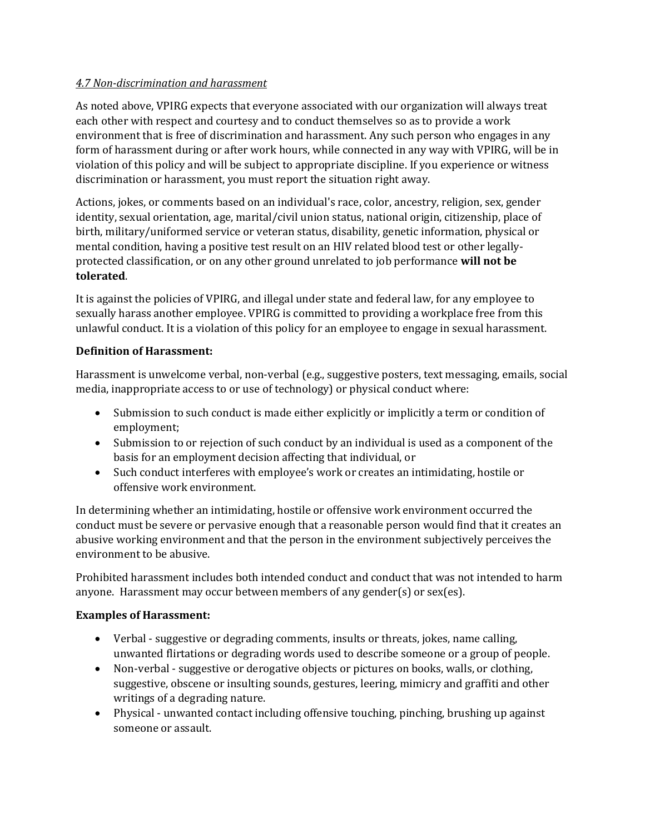### *4.7 Non-discrimination and harassment*

As noted above, VPIRG expects that everyone associated with our organization will always treat each other with respect and courtesy and to conduct themselves so as to provide a work environment that is free of discrimination and harassment. Any such person who engages in any form of harassment during or after work hours, while connected in any way with VPIRG, will be in violation of this policy and will be subject to appropriate discipline. If you experience or witness discrimination or harassment, you must report the situation right away.

Actions, jokes, or comments based on an individual's race, color, ancestry, religion, sex, gender identity, sexual orientation, age, marital/civil union status, national origin, citizenship, place of birth, military/uniformed service or veteran status, disability, genetic information, physical or mental condition, having a positive test result on an HIV related blood test or other legallyprotected classification, or on any other ground unrelated to job performance **will not be tolerated**.

It is against the policies of VPIRG, and illegal under state and federal law, for any employee to sexually harass another employee. VPIRG is committed to providing a workplace free from this unlawful conduct. It is a violation of this policy for an employee to engage in sexual harassment.

### **Definition of Harassment:**

Harassment is unwelcome verbal, non-verbal (e.g., suggestive posters, text messaging, emails, social media, inappropriate access to or use of technology) or physical conduct where:

- Submission to such conduct is made either explicitly or implicitly a term or condition of employment;
- Submission to or rejection of such conduct by an individual is used as a component of the basis for an employment decision affecting that individual, or
- Such conduct interferes with employee's work or creates an intimidating, hostile or offensive work environment.

In determining whether an intimidating, hostile or offensive work environment occurred the conduct must be severe or pervasive enough that a reasonable person would find that it creates an abusive working environment and that the person in the environment subjectively perceives the environment to be abusive.

Prohibited harassment includes both intended conduct and conduct that was not intended to harm anyone. Harassment may occur between members of any gender(s) or sex(es).

#### **Examples of Harassment:**

- Verbal suggestive or degrading comments, insults or threats, jokes, name calling, unwanted flirtations or degrading words used to describe someone or a group of people.
- Non-verbal suggestive or derogative objects or pictures on books, walls, or clothing, suggestive, obscene or insulting sounds, gestures, leering, mimicry and graffiti and other writings of a degrading nature.
- Physical unwanted contact including offensive touching, pinching, brushing up against someone or assault.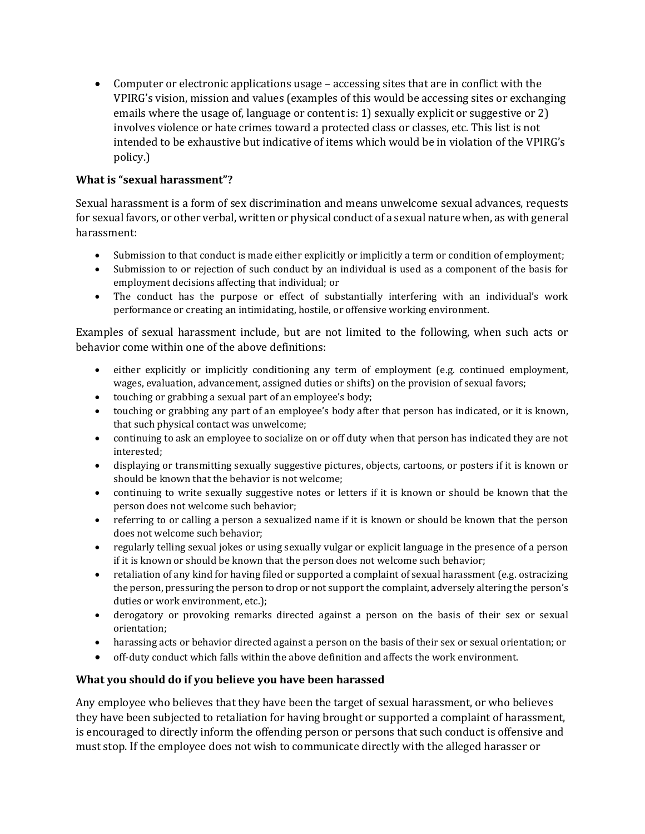• Computer or electronic applications usage – accessing sites that are in conflict with the VPIRG's vision, mission and values (examples of this would be accessing sites or exchanging emails where the usage of, language or content is: 1) sexually explicit or suggestive or 2) involves violence or hate crimes toward a protected class or classes, etc. This list is not intended to be exhaustive but indicative of items which would be in violation of the VPIRG's policy.)

### **What is "sexual harassment"?**

Sexual harassment is a form of sex discrimination and means unwelcome sexual advances, requests for sexual favors, or other verbal, written or physical conduct of a sexual nature when, as with general harassment:

- Submission to that conduct is made either explicitly or implicitly a term or condition of employment;
- Submission to or rejection of such conduct by an individual is used as a component of the basis for employment decisions affecting that individual; or
- The conduct has the purpose or effect of substantially interfering with an individual's work performance or creating an intimidating, hostile, or offensive working environment.

Examples of sexual harassment include, but are not limited to the following, when such acts or behavior come within one of the above definitions:

- either explicitly or implicitly conditioning any term of employment (e.g. continued employment, wages, evaluation, advancement, assigned duties or shifts) on the provision of sexual favors;
- touching or grabbing a sexual part of an employee's body;
- touching or grabbing any part of an employee's body after that person has indicated, or it is known, that such physical contact was unwelcome;
- continuing to ask an employee to socialize on or off duty when that person has indicated they are not interested;
- displaying or transmitting sexually suggestive pictures, objects, cartoons, or posters if it is known or should be known that the behavior is not welcome;
- continuing to write sexually suggestive notes or letters if it is known or should be known that the person does not welcome such behavior;
- referring to or calling a person a sexualized name if it is known or should be known that the person does not welcome such behavior;
- regularly telling sexual jokes or using sexually vulgar or explicit language in the presence of a person if it is known or should be known that the person does not welcome such behavior;
- retaliation of any kind for having filed or supported a complaint of sexual harassment (e.g. ostracizing the person, pressuring the person to drop or not support the complaint, adversely altering the person's duties or work environment, etc.);
- derogatory or provoking remarks directed against a person on the basis of their sex or sexual orientation;
- harassing acts or behavior directed against a person on the basis of their sex or sexual orientation; or
- off-duty conduct which falls within the above definition and affects the work environment.

#### **What you should do if you believe you have been harassed**

Any employee who believes that they have been the target of sexual harassment, or who believes they have been subjected to retaliation for having brought or supported a complaint of harassment, is encouraged to directly inform the offending person or persons that such conduct is offensive and must stop. If the employee does not wish to communicate directly with the alleged harasser or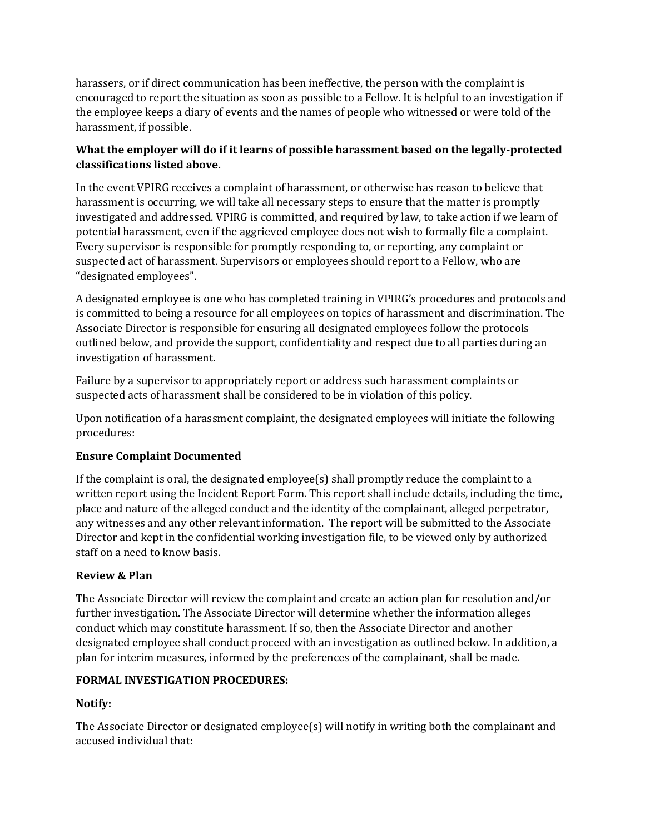harassers, or if direct communication has been ineffective, the person with the complaint is encouraged to report the situation as soon as possible to a Fellow. It is helpful to an investigation if the employee keeps a diary of events and the names of people who witnessed or were told of the harassment, if possible.

### **What the employer will do if it learns of possible harassment based on the legally-protected classifications listed above.**

In the event VPIRG receives a complaint of harassment, or otherwise has reason to believe that harassment is occurring, we will take all necessary steps to ensure that the matter is promptly investigated and addressed. VPIRG is committed, and required by law, to take action if we learn of potential harassment, even if the aggrieved employee does not wish to formally file a complaint. Every supervisor is responsible for promptly responding to, or reporting, any complaint or suspected act of harassment. Supervisors or employees should report to a Fellow, who are "designated employees".

A designated employee is one who has completed training in VPIRG's procedures and protocols and is committed to being a resource for all employees on topics of harassment and discrimination. The Associate Director is responsible for ensuring all designated employees follow the protocols outlined below, and provide the support, confidentiality and respect due to all parties during an investigation of harassment.

Failure by a supervisor to appropriately report or address such harassment complaints or suspected acts of harassment shall be considered to be in violation of this policy.

Upon notification of a harassment complaint, the designated employees will initiate the following procedures:

### **Ensure Complaint Documented**

If the complaint is oral, the designated employee(s) shall promptly reduce the complaint to a written report using the Incident Report Form. This report shall include details, including the time, place and nature of the alleged conduct and the identity of the complainant, alleged perpetrator, any witnesses and any other relevant information. The report will be submitted to the Associate Director and kept in the confidential working investigation file, to be viewed only by authorized staff on a need to know basis.

### **Review & Plan**

The Associate Director will review the complaint and create an action plan for resolution and/or further investigation. The Associate Director will determine whether the information alleges conduct which may constitute harassment. If so, then the Associate Director and another designated employee shall conduct proceed with an investigation as outlined below. In addition, a plan for interim measures, informed by the preferences of the complainant, shall be made.

#### **FORMAL INVESTIGATION PROCEDURES:**

### **Notify:**

The Associate Director or designated employee(s) will notify in writing both the complainant and accused individual that: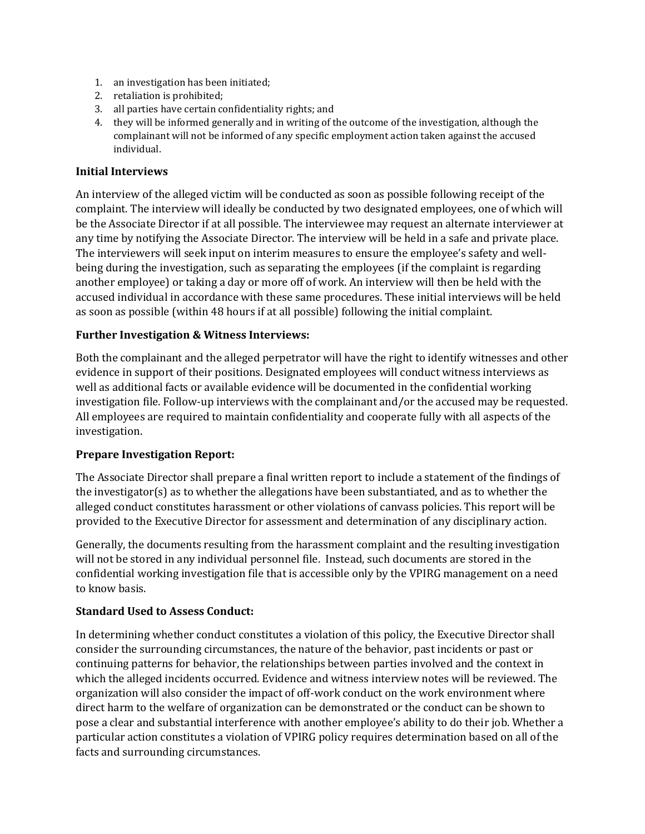- 1. an investigation has been initiated;
- 2. retaliation is prohibited;
- 3. all parties have certain confidentiality rights; and
- 4. they will be informed generally and in writing of the outcome of the investigation, although the complainant will not be informed of any specific employment action taken against the accused individual.

#### **Initial Interviews**

An interview of the alleged victim will be conducted as soon as possible following receipt of the complaint. The interview will ideally be conducted by two designated employees, one of which will be the Associate Director if at all possible. The interviewee may request an alternate interviewer at any time by notifying the Associate Director. The interview will be held in a safe and private place. The interviewers will seek input on interim measures to ensure the employee's safety and wellbeing during the investigation, such as separating the employees (if the complaint is regarding another employee) or taking a day or more off of work. An interview will then be held with the accused individual in accordance with these same procedures. These initial interviews will be held as soon as possible (within 48 hours if at all possible) following the initial complaint.

#### **Further Investigation & Witness Interviews:**

Both the complainant and the alleged perpetrator will have the right to identify witnesses and other evidence in support of their positions. Designated employees will conduct witness interviews as well as additional facts or available evidence will be documented in the confidential working investigation file. Follow-up interviews with the complainant and/or the accused may be requested. All employees are required to maintain confidentiality and cooperate fully with all aspects of the investigation.

#### **Prepare Investigation Report:**

The Associate Director shall prepare a final written report to include a statement of the findings of the investigator(s) as to whether the allegations have been substantiated, and as to whether the alleged conduct constitutes harassment or other violations of canvass policies. This report will be provided to the Executive Director for assessment and determination of any disciplinary action.

Generally, the documents resulting from the harassment complaint and the resulting investigation will not be stored in any individual personnel file. Instead, such documents are stored in the confidential working investigation file that is accessible only by the VPIRG management on a need to know basis.

#### **Standard Used to Assess Conduct:**

In determining whether conduct constitutes a violation of this policy, the Executive Director shall consider the surrounding circumstances, the nature of the behavior, past incidents or past or continuing patterns for behavior, the relationships between parties involved and the context in which the alleged incidents occurred. Evidence and witness interview notes will be reviewed. The organization will also consider the impact of off-work conduct on the work environment where direct harm to the welfare of organization can be demonstrated or the conduct can be shown to pose a clear and substantial interference with another employee's ability to do their job. Whether a particular action constitutes a violation of VPIRG policy requires determination based on all of the facts and surrounding circumstances.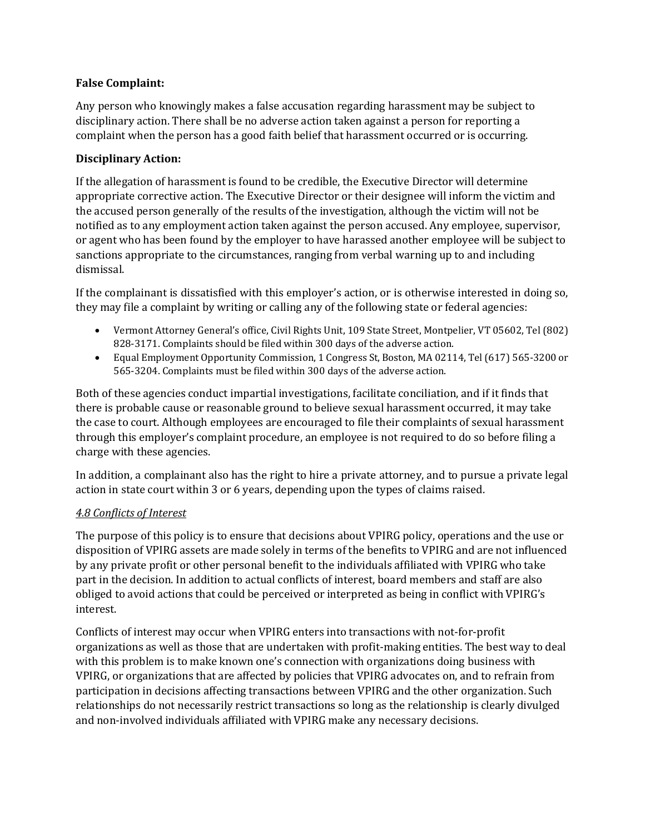#### **False Complaint:**

Any person who knowingly makes a false accusation regarding harassment may be subject to disciplinary action. There shall be no adverse action taken against a person for reporting a complaint when the person has a good faith belief that harassment occurred or is occurring.

### **Disciplinary Action:**

If the allegation of harassment is found to be credible, the Executive Director will determine appropriate corrective action. The Executive Director or their designee will inform the victim and the accused person generally of the results of the investigation, although the victim will not be notified as to any employment action taken against the person accused. Any employee, supervisor, or agent who has been found by the employer to have harassed another employee will be subject to sanctions appropriate to the circumstances, ranging from verbal warning up to and including dismissal.

If the complainant is dissatisfied with this employer's action, or is otherwise interested in doing so, they may file a complaint by writing or calling any of the following state or federal agencies:

- Vermont Attorney General's office, Civil Rights Unit, 109 State Street, Montpelier, VT 05602, Tel (802) 828-3171. Complaints should be filed within 300 days of the adverse action.
- Equal Employment Opportunity Commission, 1 Congress St, Boston, MA 02114, Tel (617) 565-3200 or 565-3204. Complaints must be filed within 300 days of the adverse action.

Both of these agencies conduct impartial investigations, facilitate conciliation, and if it finds that there is probable cause or reasonable ground to believe sexual harassment occurred, it may take the case to court. Although employees are encouraged to file their complaints of sexual harassment through this employer's complaint procedure, an employee is not required to do so before filing a charge with these agencies.

In addition, a complainant also has the right to hire a private attorney, and to pursue a private legal action in state court within 3 or 6 years, depending upon the types of claims raised.

#### *4.8 Conflicts of Interest*

The purpose of this policy is to ensure that decisions about VPIRG policy, operations and the use or disposition of VPIRG assets are made solely in terms of the benefits to VPIRG and are not influenced by any private profit or other personal benefit to the individuals affiliated with VPIRG who take part in the decision. In addition to actual conflicts of interest, board members and staff are also obliged to avoid actions that could be perceived or interpreted as being in conflict with VPIRG's interest.

Conflicts of interest may occur when VPIRG enters into transactions with not-for-profit organizations as well as those that are undertaken with profit-making entities. The best way to deal with this problem is to make known one's connection with organizations doing business with VPIRG, or organizations that are affected by policies that VPIRG advocates on, and to refrain from participation in decisions affecting transactions between VPIRG and the other organization. Such relationships do not necessarily restrict transactions so long as the relationship is clearly divulged and non-involved individuals affiliated with VPIRG make any necessary decisions.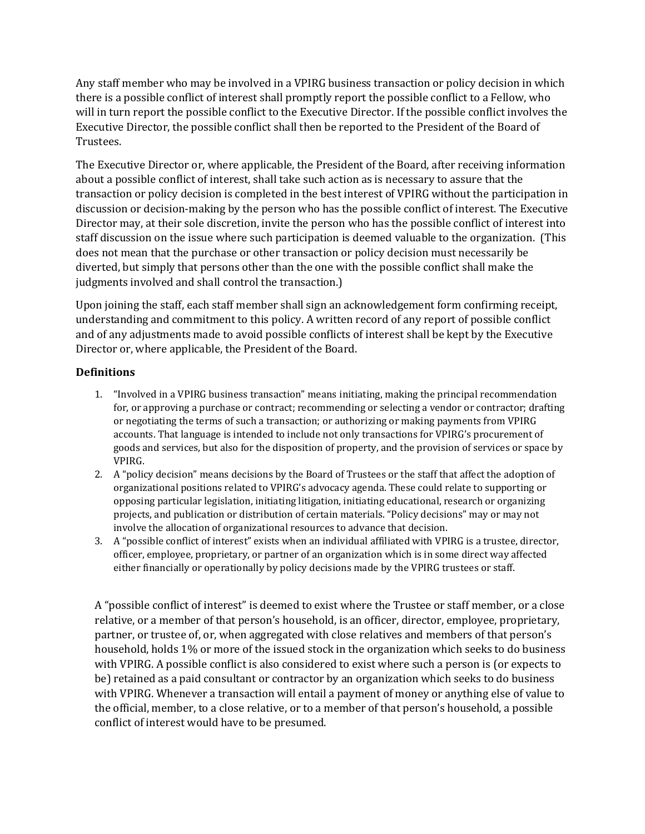Any staff member who may be involved in a VPIRG business transaction or policy decision in which there is a possible conflict of interest shall promptly report the possible conflict to a Fellow, who will in turn report the possible conflict to the Executive Director. If the possible conflict involves the Executive Director, the possible conflict shall then be reported to the President of the Board of Trustees.

The Executive Director or, where applicable, the President of the Board, after receiving information about a possible conflict of interest, shall take such action as is necessary to assure that the transaction or policy decision is completed in the best interest of VPIRG without the participation in discussion or decision-making by the person who has the possible conflict of interest. The Executive Director may, at their sole discretion, invite the person who has the possible conflict of interest into staff discussion on the issue where such participation is deemed valuable to the organization. (This does not mean that the purchase or other transaction or policy decision must necessarily be diverted, but simply that persons other than the one with the possible conflict shall make the judgments involved and shall control the transaction.)

Upon joining the staff, each staff member shall sign an acknowledgement form confirming receipt, understanding and commitment to this policy. A written record of any report of possible conflict and of any adjustments made to avoid possible conflicts of interest shall be kept by the Executive Director or, where applicable, the President of the Board.

### **Definitions**

- 1. "Involved in a VPIRG business transaction" means initiating, making the principal recommendation for, or approving a purchase or contract; recommending or selecting a vendor or contractor; drafting or negotiating the terms of such a transaction; or authorizing or making payments from VPIRG accounts. That language is intended to include not only transactions for VPIRG's procurement of goods and services, but also for the disposition of property, and the provision of services or space by VPIRG.
- 2. A "policy decision" means decisions by the Board of Trustees or the staff that affect the adoption of organizational positions related to VPIRG's advocacy agenda. These could relate to supporting or opposing particular legislation, initiating litigation, initiating educational, research or organizing projects, and publication or distribution of certain materials. "Policy decisions" may or may not involve the allocation of organizational resources to advance that decision.
- 3. A "possible conflict of interest" exists when an individual affiliated with VPIRG is a trustee, director, officer, employee, proprietary, or partner of an organization which is in some direct way affected either financially or operationally by policy decisions made by the VPIRG trustees or staff.

A "possible conflict of interest" is deemed to exist where the Trustee or staff member, or a close relative, or a member of that person's household, is an officer, director, employee, proprietary, partner, or trustee of, or, when aggregated with close relatives and members of that person's household, holds 1% or more of the issued stock in the organization which seeks to do business with VPIRG. A possible conflict is also considered to exist where such a person is (or expects to be) retained as a paid consultant or contractor by an organization which seeks to do business with VPIRG. Whenever a transaction will entail a payment of money or anything else of value to the official, member, to a close relative, or to a member of that person's household, a possible conflict of interest would have to be presumed.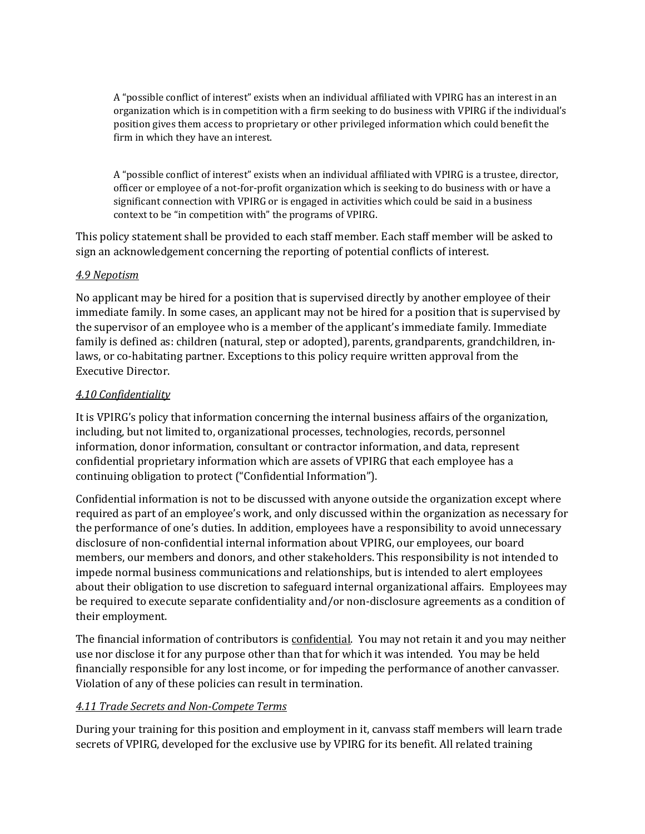A "possible conflict of interest" exists when an individual affiliated with VPIRG has an interest in an organization which is in competition with a firm seeking to do business with VPIRG if the individual's position gives them access to proprietary or other privileged information which could benefit the firm in which they have an interest.

A "possible conflict of interest" exists when an individual affiliated with VPIRG is a trustee, director, officer or employee of a not-for-profit organization which is seeking to do business with or have a significant connection with VPIRG or is engaged in activities which could be said in a business context to be "in competition with" the programs of VPIRG.

This policy statement shall be provided to each staff member. Each staff member will be asked to sign an acknowledgement concerning the reporting of potential conflicts of interest.

#### *4.9 Nepotism*

No applicant may be hired for a position that is supervised directly by another employee of their immediate family. In some cases, an applicant may not be hired for a position that is supervised by the supervisor of an employee who is a member of the applicant's immediate family. Immediate family is defined as: children (natural, step or adopted), parents, grandparents, grandchildren, inlaws, or co-habitating partner. Exceptions to this policy require written approval from the Executive Director.

#### *4.10 Confidentiality*

It is VPIRG's policy that information concerning the internal business affairs of the organization, including, but not limited to, organizational processes, technologies, records, personnel information, donor information, consultant or contractor information, and data, represent confidential proprietary information which are assets of VPIRG that each employee has a continuing obligation to protect ("Confidential Information").

Confidential information is not to be discussed with anyone outside the organization except where required as part of an employee's work, and only discussed within the organization as necessary for the performance of one's duties. In addition, employees have a responsibility to avoid unnecessary disclosure of non-confidential internal information about VPIRG, our employees, our board members, our members and donors, and other stakeholders. This responsibility is not intended to impede normal business communications and relationships, but is intended to alert employees about their obligation to use discretion to safeguard internal organizational affairs. Employees may be required to execute separate confidentiality and/or non-disclosure agreements as a condition of their employment.

The financial information of contributors is confidential. You may not retain it and you may neither use nor disclose it for any purpose other than that for which it was intended. You may be held financially responsible for any lost income, or for impeding the performance of another canvasser. Violation of any of these policies can result in termination.

#### *4.11 Trade Secrets and Non-Compete Terms*

During your training for this position and employment in it, canvass staff members will learn trade secrets of VPIRG, developed for the exclusive use by VPIRG for its benefit. All related training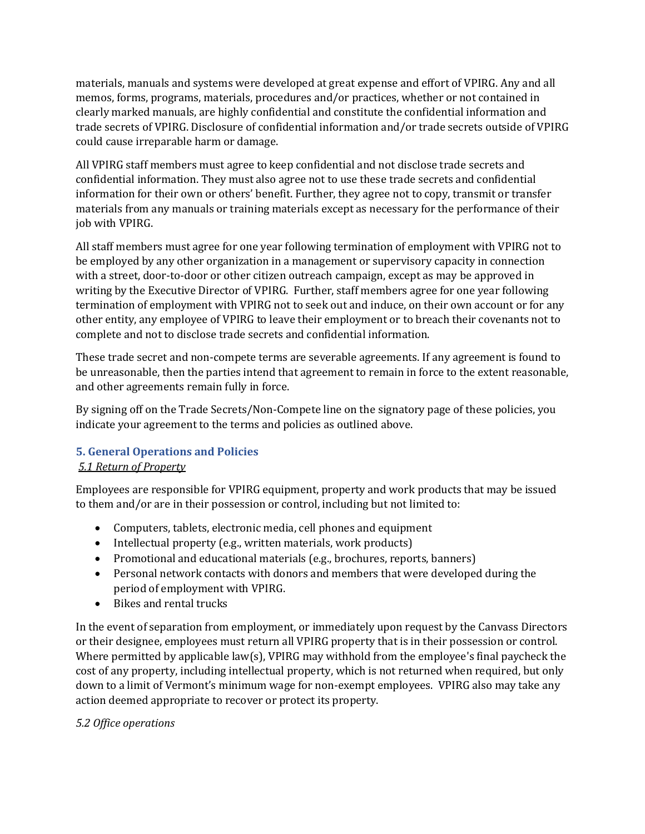materials, manuals and systems were developed at great expense and effort of VPIRG. Any and all memos, forms, programs, materials, procedures and/or practices, whether or not contained in clearly marked manuals, are highly confidential and constitute the confidential information and trade secrets of VPIRG. Disclosure of confidential information and/or trade secrets outside of VPIRG could cause irreparable harm or damage.

All VPIRG staff members must agree to keep confidential and not disclose trade secrets and confidential information. They must also agree not to use these trade secrets and confidential information for their own or others' benefit. Further, they agree not to copy, transmit or transfer materials from any manuals or training materials except as necessary for the performance of their job with VPIRG.

All staff members must agree for one year following termination of employment with VPIRG not to be employed by any other organization in a management or supervisory capacity in connection with a street, door-to-door or other citizen outreach campaign, except as may be approved in writing by the Executive Director of VPIRG. Further, staff members agree for one year following termination of employment with VPIRG not to seek out and induce, on their own account or for any other entity, any employee of VPIRG to leave their employment or to breach their covenants not to complete and not to disclose trade secrets and confidential information.

These trade secret and non-compete terms are severable agreements. If any agreement is found to be unreasonable, then the parties intend that agreement to remain in force to the extent reasonable, and other agreements remain fully in force.

By signing off on the Trade Secrets/Non-Compete line on the signatory page of these policies, you indicate your agreement to the terms and policies as outlined above.

### **5. General Operations and Policies**

### *5.1 Return of Property*

Employees are responsible for VPIRG equipment, property and work products that may be issued to them and/or are in their possession or control, including but not limited to:

- Computers, tablets, electronic media, cell phones and equipment
- Intellectual property (e.g., written materials, work products)
- Promotional and educational materials (e.g., brochures, reports, banners)
- Personal network contacts with donors and members that were developed during the period of employment with VPIRG.
- Bikes and rental trucks

In the event of separation from employment, or immediately upon request by the Canvass Directors or their designee, employees must return all VPIRG property that is in their possession or control. Where permitted by applicable law(s), VPIRG may withhold from the employee's final paycheck the cost of any property, including intellectual property, which is not returned when required, but only down to a limit of Vermont's minimum wage for non-exempt employees. VPIRG also may take any action deemed appropriate to recover or protect its property.

### *5.2 Office operations*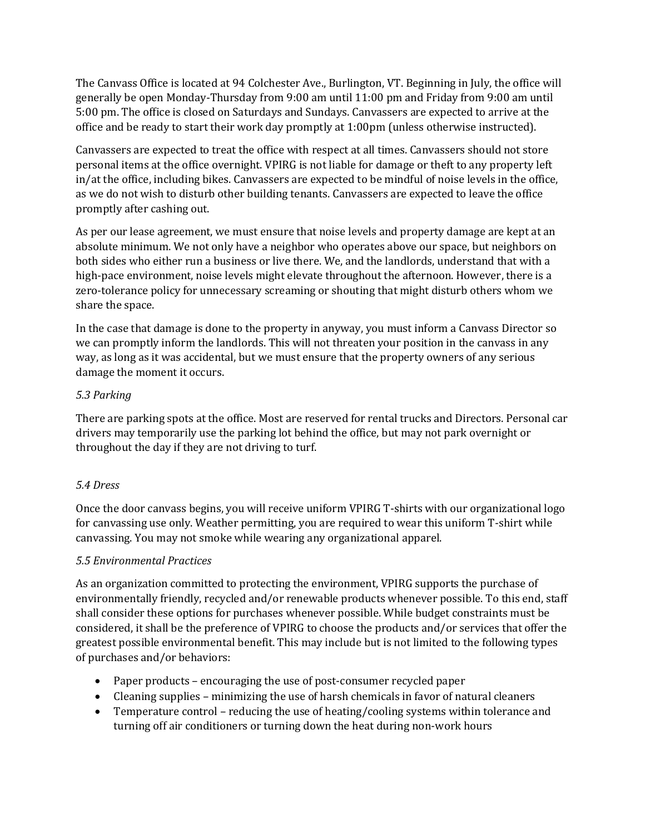The Canvass Office is located at 94 Colchester Ave., Burlington, VT. Beginning in July, the office will generally be open Monday-Thursday from 9:00 am until 11:00 pm and Friday from 9:00 am until 5:00 pm. The office is closed on Saturdays and Sundays. Canvassers are expected to arrive at the office and be ready to start their work day promptly at 1:00pm (unless otherwise instructed).

Canvassers are expected to treat the office with respect at all times. Canvassers should not store personal items at the office overnight. VPIRG is not liable for damage or theft to any property left in/at the office, including bikes. Canvassers are expected to be mindful of noise levels in the office, as we do not wish to disturb other building tenants. Canvassers are expected to leave the office promptly after cashing out.

As per our lease agreement, we must ensure that noise levels and property damage are kept at an absolute minimum. We not only have a neighbor who operates above our space, but neighbors on both sides who either run a business or live there. We, and the landlords, understand that with a high-pace environment, noise levels might elevate throughout the afternoon. However, there is a zero-tolerance policy for unnecessary screaming or shouting that might disturb others whom we share the space.

In the case that damage is done to the property in anyway, you must inform a Canvass Director so we can promptly inform the landlords. This will not threaten your position in the canvass in any way, as long as it was accidental, but we must ensure that the property owners of any serious damage the moment it occurs.

### *5.3 Parking*

There are parking spots at the office. Most are reserved for rental trucks and Directors. Personal car drivers may temporarily use the parking lot behind the office, but may not park overnight or throughout the day if they are not driving to turf.

### *5.4 Dress*

Once the door canvass begins, you will receive uniform VPIRG T-shirts with our organizational logo for canvassing use only. Weather permitting, you are required to wear this uniform T-shirt while canvassing. You may not smoke while wearing any organizational apparel.

#### *5.5 Environmental Practices*

As an organization committed to protecting the environment, VPIRG supports the purchase of environmentally friendly, recycled and/or renewable products whenever possible. To this end, staff shall consider these options for purchases whenever possible. While budget constraints must be considered, it shall be the preference of VPIRG to choose the products and/or services that offer the greatest possible environmental benefit. This may include but is not limited to the following types of purchases and/or behaviors:

- Paper products encouraging the use of post-consumer recycled paper
- Cleaning supplies minimizing the use of harsh chemicals in favor of natural cleaners
- Temperature control reducing the use of heating/cooling systems within tolerance and turning off air conditioners or turning down the heat during non-work hours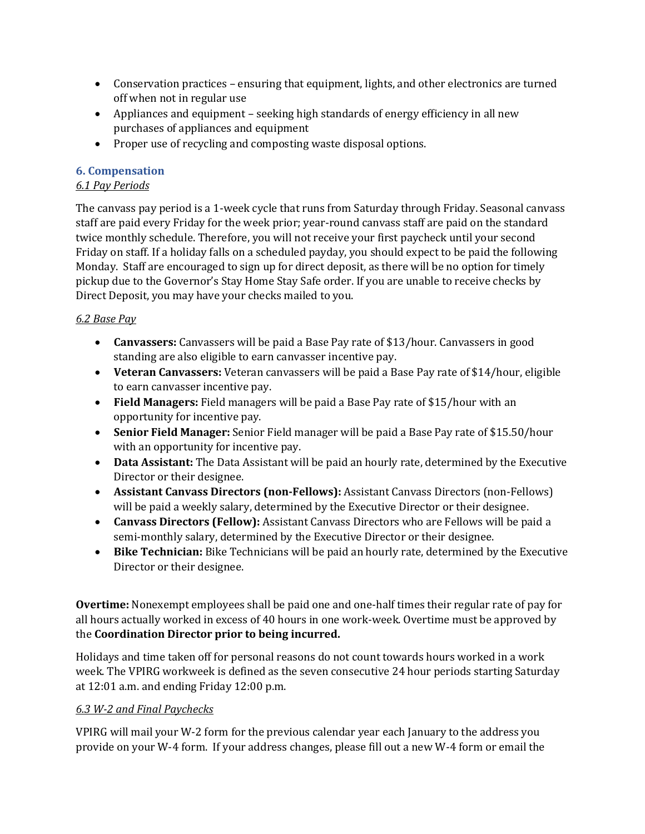- Conservation practices ensuring that equipment, lights, and other electronics are turned off when not in regular use
- Appliances and equipment seeking high standards of energy efficiency in all new purchases of appliances and equipment
- Proper use of recycling and composting waste disposal options.

### **6. Compensation**

## *6.1 Pay Periods*

The canvass pay period is a 1-week cycle that runs from Saturday through Friday. Seasonal canvass staff are paid every Friday for the week prior; year-round canvass staff are paid on the standard twice monthly schedule. Therefore, you will not receive your first paycheck until your second Friday on staff. If a holiday falls on a scheduled payday, you should expect to be paid the following Monday. Staff are encouraged to sign up for direct deposit, as there will be no option for timely pickup due to the Governor's Stay Home Stay Safe order. If you are unable to receive checks by Direct Deposit, you may have your checks mailed to you.

## *6.2 Base Pay*

- **Canvassers:** Canvassers will be paid a Base Pay rate of \$13/hour. Canvassers in good standing are also eligible to earn canvasser incentive pay.
- **Veteran Canvassers:** Veteran canvassers will be paid a Base Pay rate of \$14/hour, eligible to earn canvasser incentive pay.
- **Field Managers:** Field managers will be paid a Base Pay rate of \$15/hour with an opportunity for incentive pay.
- **Senior Field Manager:** Senior Field manager will be paid a Base Pay rate of \$15.50/hour with an opportunity for incentive pay.
- **Data Assistant:** The Data Assistant will be paid an hourly rate, determined by the Executive Director or their designee.
- **Assistant Canvass Directors (non-Fellows):** Assistant Canvass Directors (non-Fellows) will be paid a weekly salary, determined by the Executive Director or their designee.
- **Canvass Directors (Fellow):** Assistant Canvass Directors who are Fellows will be paid a semi-monthly salary, determined by the Executive Director or their designee.
- **Bike Technician:** Bike Technicians will be paid an hourly rate, determined by the Executive Director or their designee.

**Overtime:** Nonexempt employees shall be paid one and one-half times their regular rate of pay for all hours actually worked in excess of 40 hours in one work-week. Overtime must be approved by the **Coordination Director prior to being incurred.**

Holidays and time taken off for personal reasons do not count towards hours worked in a work week. The VPIRG workweek is defined as the seven consecutive 24 hour periods starting Saturday at 12:01 a.m. and ending Friday 12:00 p.m.

### *6.3 W-2 and Final Paychecks*

VPIRG will mail your W-2 form for the previous calendar year each January to the address you provide on your W-4 form. If your address changes, please fill out a new W-4 form or email the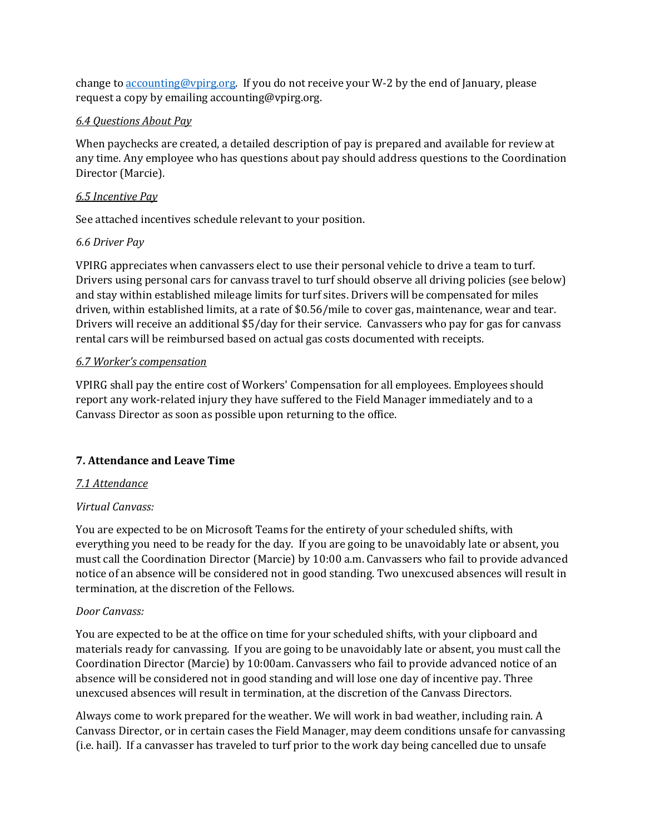change to accounting@vpirg.org. If you do not receive your W-2 by the end of January, please request a copy by emailing accounting@vpirg.org.

#### *6.4 Questions About Pay*

When paychecks are created, a detailed description of pay is prepared and available for review at any time. Any employee who has questions about pay should address questions to the Coordination Director (Marcie).

#### *6.5 Incentive Pay*

See attached incentives schedule relevant to your position.

### *6.6 Driver Pay*

VPIRG appreciates when canvassers elect to use their personal vehicle to drive a team to turf. Drivers using personal cars for canvass travel to turf should observe all driving policies (see below) and stay within established mileage limits for turf sites. Drivers will be compensated for miles driven, within established limits, at a rate of \$0.56/mile to cover gas, maintenance, wear and tear. Drivers will receive an additional \$5/day for their service. Canvassers who pay for gas for canvass rental cars will be reimbursed based on actual gas costs documented with receipts.

### *6.7 Worker's compensation*

VPIRG shall pay the entire cost of Workers' Compensation for all employees. Employees should report any work-related injury they have suffered to the Field Manager immediately and to a Canvass Director as soon as possible upon returning to the office.

### **7. Attendance and Leave Time**

#### *7.1 Attendance*

### *Virtual Canvass:*

You are expected to be on Microsoft Teams for the entirety of your scheduled shifts, with everything you need to be ready for the day. If you are going to be unavoidably late or absent, you must call the Coordination Director (Marcie) by 10:00 a.m. Canvassers who fail to provide advanced notice of an absence will be considered not in good standing. Two unexcused absences will result in termination, at the discretion of the Fellows.

### *Door Canvass:*

You are expected to be at the office on time for your scheduled shifts, with your clipboard and materials ready for canvassing. If you are going to be unavoidably late or absent, you must call the Coordination Director (Marcie) by 10:00am. Canvassers who fail to provide advanced notice of an absence will be considered not in good standing and will lose one day of incentive pay. Three unexcused absences will result in termination, at the discretion of the Canvass Directors.

Always come to work prepared for the weather. We will work in bad weather, including rain. A Canvass Director, or in certain cases the Field Manager, may deem conditions unsafe for canvassing (i.e. hail). If a canvasser has traveled to turf prior to the work day being cancelled due to unsafe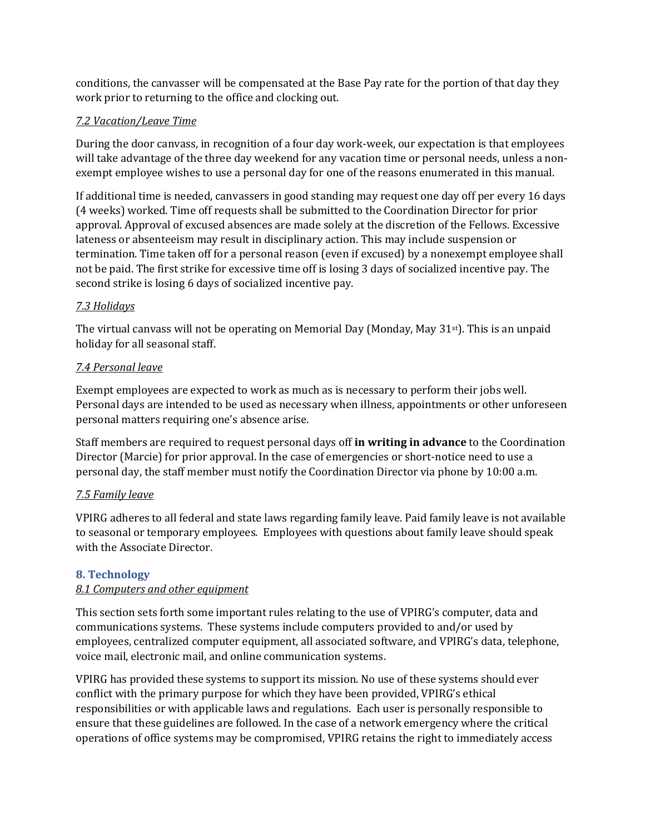conditions, the canvasser will be compensated at the Base Pay rate for the portion of that day they work prior to returning to the office and clocking out.

### *7.2 Vacation/Leave Time*

During the door canvass, in recognition of a four day work-week, our expectation is that employees will take advantage of the three day weekend for any vacation time or personal needs, unless a nonexempt employee wishes to use a personal day for one of the reasons enumerated in this manual.

If additional time is needed, canvassers in good standing may request one day off per every 16 days (4 weeks) worked. Time off requests shall be submitted to the Coordination Director for prior approval. Approval of excused absences are made solely at the discretion of the Fellows. Excessive lateness or absenteeism may result in disciplinary action. This may include suspension or termination. Time taken off for a personal reason (even if excused) by a nonexempt employee shall not be paid. The first strike for excessive time off is losing 3 days of socialized incentive pay. The second strike is losing 6 days of socialized incentive pay.

### *7.3 Holidays*

The virtual canvass will not be operating on Memorial Day (Monday, May 31st). This is an unpaid holiday for all seasonal staff.

### *7.4 Personal leave*

Exempt employees are expected to work as much as is necessary to perform their jobs well. Personal days are intended to be used as necessary when illness, appointments or other unforeseen personal matters requiring one's absence arise.

Staff members are required to request personal days off **in writing in advance** to the Coordination Director (Marcie) for prior approval. In the case of emergencies or short-notice need to use a personal day, the staff member must notify the Coordination Director via phone by 10:00 a.m.

### *7.5 Family leave*

VPIRG adheres to all federal and state laws regarding family leave. Paid family leave is not available to seasonal or temporary employees. Employees with questions about family leave should speak with the Associate Director.

### **8. Technology**

#### *8.1 Computers and other equipment*

This section sets forth some important rules relating to the use of VPIRG's computer, data and communications systems. These systems include computers provided to and/or used by employees, centralized computer equipment, all associated software, and VPIRG's data, telephone, voice mail, electronic mail, and online communication systems.

VPIRG has provided these systems to support its mission. No use of these systems should ever conflict with the primary purpose for which they have been provided, VPIRG's ethical responsibilities or with applicable laws and regulations. Each user is personally responsible to ensure that these guidelines are followed. In the case of a network emergency where the critical operations of office systems may be compromised, VPIRG retains the right to immediately access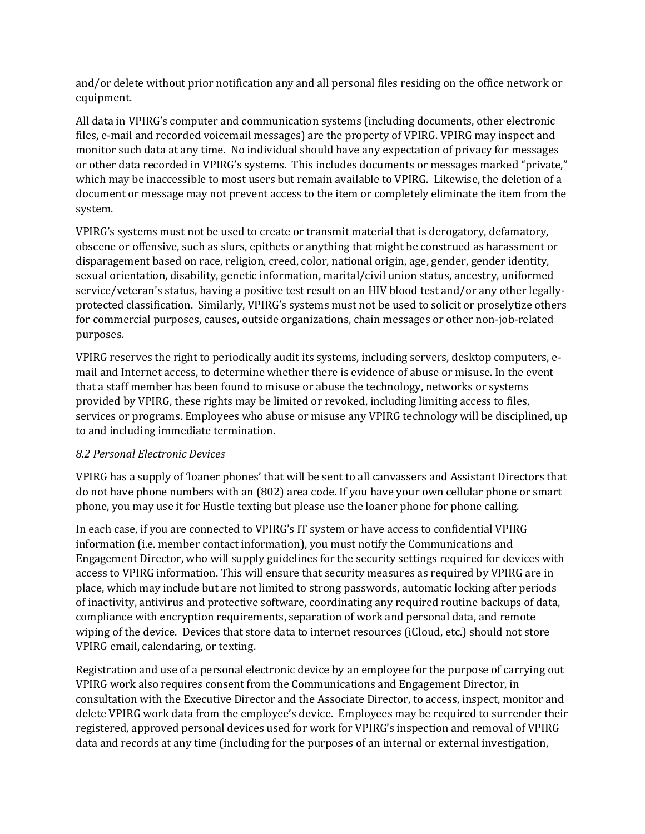and/or delete without prior notification any and all personal files residing on the office network or equipment.

All data in VPIRG's computer and communication systems (including documents, other electronic files, e-mail and recorded voicemail messages) are the property of VPIRG. VPIRG may inspect and monitor such data at any time. No individual should have any expectation of privacy for messages or other data recorded in VPIRG's systems. This includes documents or messages marked "private," which may be inaccessible to most users but remain available to VPIRG. Likewise, the deletion of a document or message may not prevent access to the item or completely eliminate the item from the system.

VPIRG's systems must not be used to create or transmit material that is derogatory, defamatory, obscene or offensive, such as slurs, epithets or anything that might be construed as harassment or disparagement based on race, religion, creed, color, national origin, age, gender, gender identity, sexual orientation, disability, genetic information, marital/civil union status, ancestry, uniformed service/veteran's status, having a positive test result on an HIV blood test and/or any other legallyprotected classification. Similarly, VPIRG's systems must not be used to solicit or proselytize others for commercial purposes, causes, outside organizations, chain messages or other non-job-related purposes.

VPIRG reserves the right to periodically audit its systems, including servers, desktop computers, email and Internet access, to determine whether there is evidence of abuse or misuse. In the event that a staff member has been found to misuse or abuse the technology, networks or systems provided by VPIRG, these rights may be limited or revoked, including limiting access to files, services or programs. Employees who abuse or misuse any VPIRG technology will be disciplined, up to and including immediate termination.

#### *8.2 Personal Electronic Devices*

VPIRG has a supply of 'loaner phones' that will be sent to all canvassers and Assistant Directors that do not have phone numbers with an (802) area code. If you have your own cellular phone or smart phone, you may use it for Hustle texting but please use the loaner phone for phone calling.

In each case, if you are connected to VPIRG's IT system or have access to confidential VPIRG information (i.e. member contact information), you must notify the Communications and Engagement Director, who will supply guidelines for the security settings required for devices with access to VPIRG information. This will ensure that security measures as required by VPIRG are in place, which may include but are not limited to strong passwords, automatic locking after periods of inactivity, antivirus and protective software, coordinating any required routine backups of data, compliance with encryption requirements, separation of work and personal data, and remote wiping of the device. Devices that store data to internet resources (iCloud, etc.) should not store VPIRG email, calendaring, or texting.

Registration and use of a personal electronic device by an employee for the purpose of carrying out VPIRG work also requires consent from the Communications and Engagement Director, in consultation with the Executive Director and the Associate Director, to access, inspect, monitor and delete VPIRG work data from the employee's device. Employees may be required to surrender their registered, approved personal devices used for work for VPIRG's inspection and removal of VPIRG data and records at any time (including for the purposes of an internal or external investigation,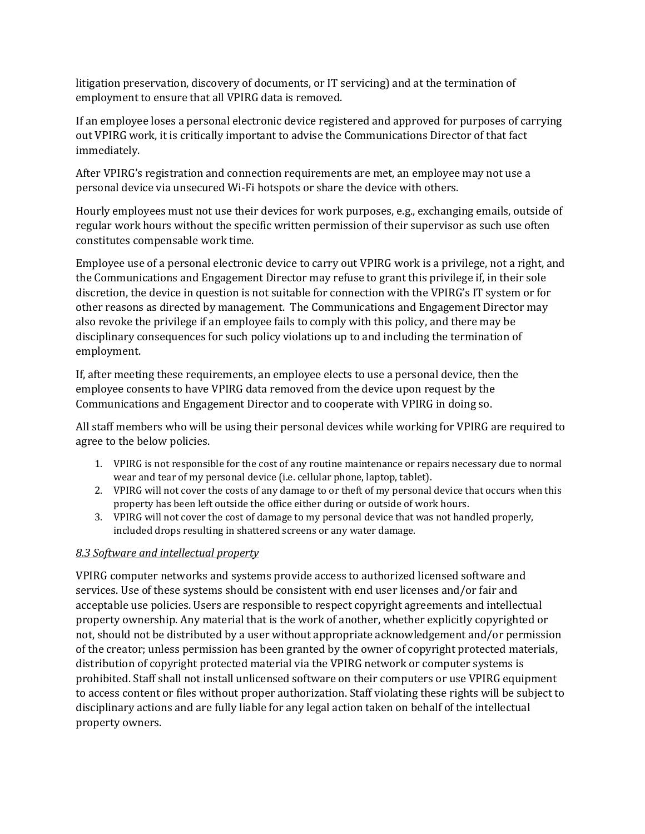litigation preservation, discovery of documents, or IT servicing) and at the termination of employment to ensure that all VPIRG data is removed.

If an employee loses a personal electronic device registered and approved for purposes of carrying out VPIRG work, it is critically important to advise the Communications Director of that fact immediately.

After VPIRG's registration and connection requirements are met, an employee may not use a personal device via unsecured Wi-Fi hotspots or share the device with others.

Hourly employees must not use their devices for work purposes, e.g., exchanging emails, outside of regular work hours without the specific written permission of their supervisor as such use often constitutes compensable work time.

Employee use of a personal electronic device to carry out VPIRG work is a privilege, not a right, and the Communications and Engagement Director may refuse to grant this privilege if, in their sole discretion, the device in question is not suitable for connection with the VPIRG's IT system or for other reasons as directed by management. The Communications and Engagement Director may also revoke the privilege if an employee fails to comply with this policy, and there may be disciplinary consequences for such policy violations up to and including the termination of employment.

If, after meeting these requirements, an employee elects to use a personal device, then the employee consents to have VPIRG data removed from the device upon request by the Communications and Engagement Director and to cooperate with VPIRG in doing so.

All staff members who will be using their personal devices while working for VPIRG are required to agree to the below policies.

- 1. VPIRG is not responsible for the cost of any routine maintenance or repairs necessary due to normal wear and tear of my personal device (i.e. cellular phone, laptop, tablet).
- 2. VPIRG will not cover the costs of any damage to or theft of my personal device that occurs when this property has been left outside the office either during or outside of work hours.
- 3. VPIRG will not cover the cost of damage to my personal device that was not handled properly, included drops resulting in shattered screens or any water damage.

### *8.3 Software and intellectual property*

VPIRG computer networks and systems provide access to authorized licensed software and services. Use of these systems should be consistent with end user licenses and/or fair and acceptable use policies. Users are responsible to respect copyright agreements and intellectual property ownership. Any material that is the work of another, whether explicitly copyrighted or not, should not be distributed by a user without appropriate acknowledgement and/or permission of the creator; unless permission has been granted by the owner of copyright protected materials, distribution of copyright protected material via the VPIRG network or computer systems is prohibited. Staff shall not install unlicensed software on their computers or use VPIRG equipment to access content or files without proper authorization. Staff violating these rights will be subject to disciplinary actions and are fully liable for any legal action taken on behalf of the intellectual property owners.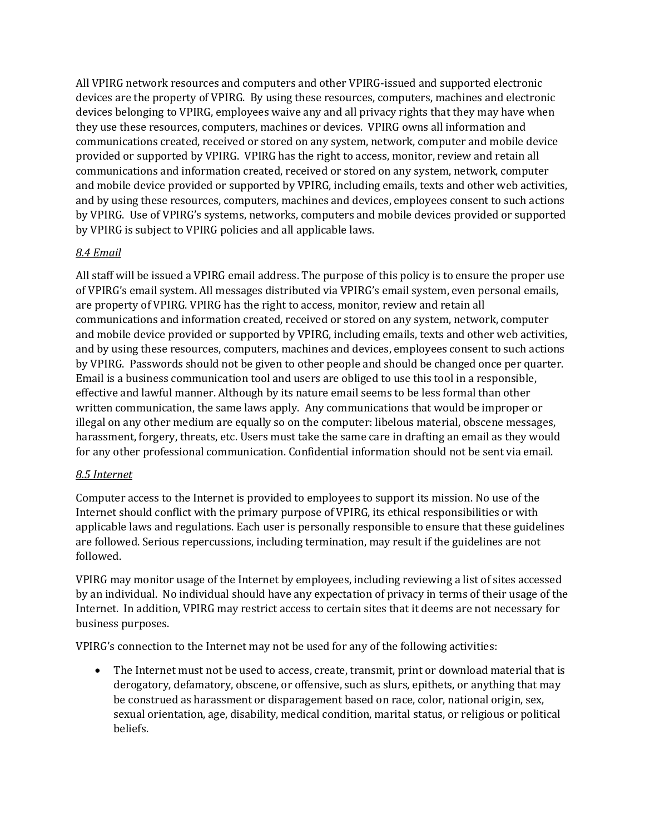All VPIRG network resources and computers and other VPIRG-issued and supported electronic devices are the property of VPIRG. By using these resources, computers, machines and electronic devices belonging to VPIRG, employees waive any and all privacy rights that they may have when they use these resources, computers, machines or devices. VPIRG owns all information and communications created, received or stored on any system, network, computer and mobile device provided or supported by VPIRG. VPIRG has the right to access, monitor, review and retain all communications and information created, received or stored on any system, network, computer and mobile device provided or supported by VPIRG, including emails, texts and other web activities, and by using these resources, computers, machines and devices, employees consent to such actions by VPIRG. Use of VPIRG's systems, networks, computers and mobile devices provided or supported by VPIRG is subject to VPIRG policies and all applicable laws.

### *8.4 Email*

All staff will be issued a VPIRG email address. The purpose of this policy is to ensure the proper use of VPIRG's email system. All messages distributed via VPIRG's email system, even personal emails, are property of VPIRG. VPIRG has the right to access, monitor, review and retain all communications and information created, received or stored on any system, network, computer and mobile device provided or supported by VPIRG, including emails, texts and other web activities, and by using these resources, computers, machines and devices, employees consent to such actions by VPIRG. Passwords should not be given to other people and should be changed once per quarter. Email is a business communication tool and users are obliged to use this tool in a responsible, effective and lawful manner. Although by its nature email seems to be less formal than other written communication, the same laws apply. Any communications that would be improper or illegal on any other medium are equally so on the computer: libelous material, obscene messages, harassment, forgery, threats, etc. Users must take the same care in drafting an email as they would for any other professional communication. Confidential information should not be sent via email.

### *8.5 Internet*

Computer access to the Internet is provided to employees to support its mission. No use of the Internet should conflict with the primary purpose of VPIRG, its ethical responsibilities or with applicable laws and regulations. Each user is personally responsible to ensure that these guidelines are followed. Serious repercussions, including termination, may result if the guidelines are not followed.

VPIRG may monitor usage of the Internet by employees, including reviewing a list of sites accessed by an individual. No individual should have any expectation of privacy in terms of their usage of the Internet. In addition, VPIRG may restrict access to certain sites that it deems are not necessary for business purposes.

VPIRG's connection to the Internet may not be used for any of the following activities:

• The Internet must not be used to access, create, transmit, print or download material that is derogatory, defamatory, obscene, or offensive, such as slurs, epithets, or anything that may be construed as harassment or disparagement based on race, color, national origin, sex, sexual orientation, age, disability, medical condition, marital status, or religious or political beliefs.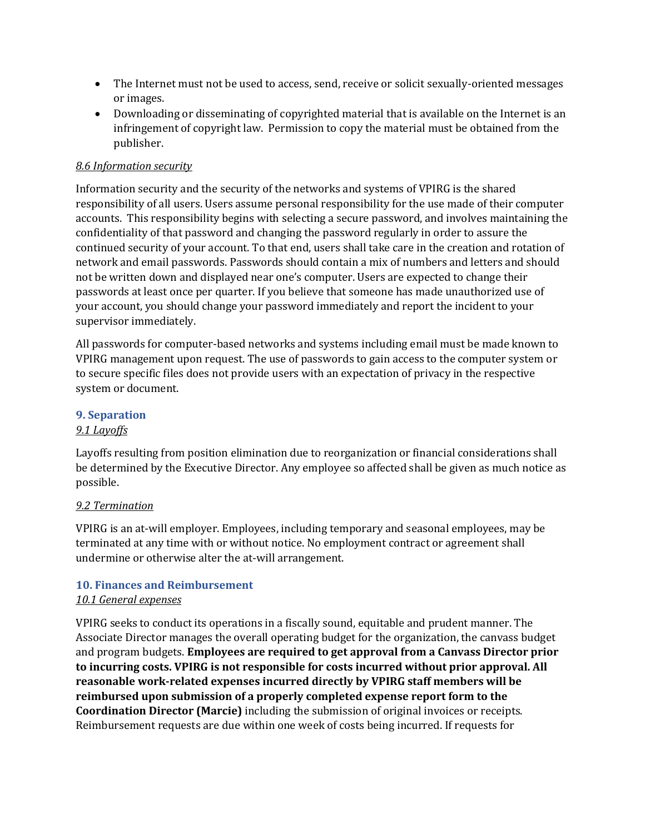- The Internet must not be used to access, send, receive or solicit sexually-oriented messages or images.
- Downloading or disseminating of copyrighted material that is available on the Internet is an infringement of copyright law. Permission to copy the material must be obtained from the publisher.

#### *8.6 Information security*

Information security and the security of the networks and systems of VPIRG is the shared responsibility of all users. Users assume personal responsibility for the use made of their computer accounts. This responsibility begins with selecting a secure password, and involves maintaining the confidentiality of that password and changing the password regularly in order to assure the continued security of your account. To that end, users shall take care in the creation and rotation of network and email passwords. Passwords should contain a mix of numbers and letters and should not be written down and displayed near one's computer. Users are expected to change their passwords at least once per quarter. If you believe that someone has made unauthorized use of your account, you should change your password immediately and report the incident to your supervisor immediately.

All passwords for computer-based networks and systems including email must be made known to VPIRG management upon request. The use of passwords to gain access to the computer system or to secure specific files does not provide users with an expectation of privacy in the respective system or document.

#### **9. Separation**

#### *9.1 Layoffs*

Layoffs resulting from position elimination due to reorganization or financial considerations shall be determined by the Executive Director. Any employee so affected shall be given as much notice as possible.

#### *9.2 Termination*

VPIRG is an at-will employer. Employees, including temporary and seasonal employees, may be terminated at any time with or without notice. No employment contract or agreement shall undermine or otherwise alter the at-will arrangement.

#### **10. Finances and Reimbursement**

#### *10.1 General expenses*

VPIRG seeks to conduct its operations in a fiscally sound, equitable and prudent manner. The Associate Director manages the overall operating budget for the organization, the canvass budget and program budgets. **Employees are required to get approval from a Canvass Director prior to incurring costs. VPIRG is not responsible for costs incurred without prior approval. All reasonable work-related expenses incurred directly by VPIRG staff members will be reimbursed upon submission of a properly completed expense report form to the Coordination Director (Marcie)** including the submission of original invoices or receipts. Reimbursement requests are due within one week of costs being incurred. If requests for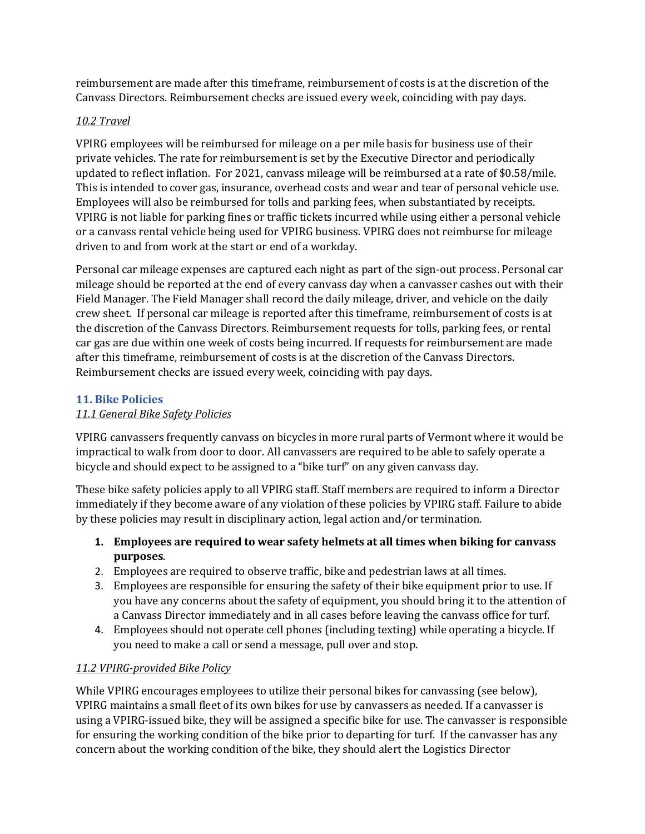reimbursement are made after this timeframe, reimbursement of costs is at the discretion of the Canvass Directors. Reimbursement checks are issued every week, coinciding with pay days.

### *10.2 Travel*

VPIRG employees will be reimbursed for mileage on a per mile basis for business use of their private vehicles. The rate for reimbursement is set by the Executive Director and periodically updated to reflect inflation. For 2021, canvass mileage will be reimbursed at a rate of \$0.58/mile. This is intended to cover gas, insurance, overhead costs and wear and tear of personal vehicle use. Employees will also be reimbursed for tolls and parking fees, when substantiated by receipts. VPIRG is not liable for parking fines or traffic tickets incurred while using either a personal vehicle or a canvass rental vehicle being used for VPIRG business. VPIRG does not reimburse for mileage driven to and from work at the start or end of a workday.

Personal car mileage expenses are captured each night as part of the sign-out process. Personal car mileage should be reported at the end of every canvass day when a canvasser cashes out with their Field Manager. The Field Manager shall record the daily mileage, driver, and vehicle on the daily crew sheet. If personal car mileage is reported after this timeframe, reimbursement of costs is at the discretion of the Canvass Directors. Reimbursement requests for tolls, parking fees, or rental car gas are due within one week of costs being incurred. If requests for reimbursement are made after this timeframe, reimbursement of costs is at the discretion of the Canvass Directors. Reimbursement checks are issued every week, coinciding with pay days.

### **11. Bike Policies**

### *11.1 General Bike Safety Policies*

VPIRG canvassers frequently canvass on bicycles in more rural parts of Vermont where it would be impractical to walk from door to door. All canvassers are required to be able to safely operate a bicycle and should expect to be assigned to a "bike turf" on any given canvass day.

These bike safety policies apply to all VPIRG staff. Staff members are required to inform a Director immediately if they become aware of any violation of these policies by VPIRG staff. Failure to abide by these policies may result in disciplinary action, legal action and/or termination.

- **1. Employees are required to wear safety helmets at all times when biking for canvass purposes**.
- 2. Employees are required to observe traffic, bike and pedestrian laws at all times.
- 3. Employees are responsible for ensuring the safety of their bike equipment prior to use. If you have any concerns about the safety of equipment, you should bring it to the attention of a Canvass Director immediately and in all cases before leaving the canvass office for turf.
- 4. Employees should not operate cell phones (including texting) while operating a bicycle. If you need to make a call or send a message, pull over and stop.

#### *11.2 VPIRG-provided Bike Policy*

While VPIRG encourages employees to utilize their personal bikes for canvassing (see below), VPIRG maintains a small fleet of its own bikes for use by canvassers as needed. If a canvasser is using a VPIRG-issued bike, they will be assigned a specific bike for use. The canvasser is responsible for ensuring the working condition of the bike prior to departing for turf. If the canvasser has any concern about the working condition of the bike, they should alert the Logistics Director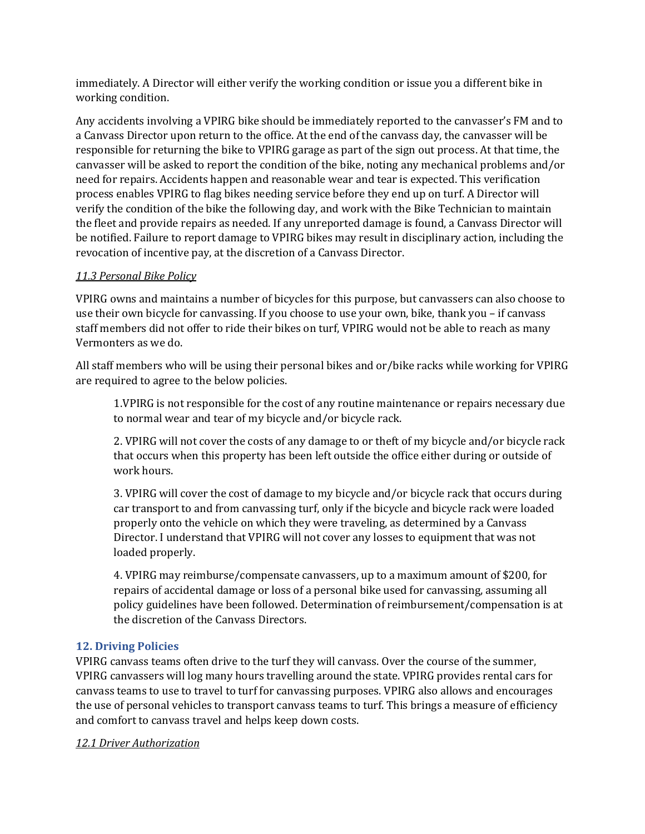immediately. A Director will either verify the working condition or issue you a different bike in working condition.

Any accidents involving a VPIRG bike should be immediately reported to the canvasser's FM and to a Canvass Director upon return to the office. At the end of the canvass day, the canvasser will be responsible for returning the bike to VPIRG garage as part of the sign out process. At that time, the canvasser will be asked to report the condition of the bike, noting any mechanical problems and/or need for repairs. Accidents happen and reasonable wear and tear is expected. This verification process enables VPIRG to flag bikes needing service before they end up on turf. A Director will verify the condition of the bike the following day, and work with the Bike Technician to maintain the fleet and provide repairs as needed. If any unreported damage is found, a Canvass Director will be notified. Failure to report damage to VPIRG bikes may result in disciplinary action, including the revocation of incentive pay, at the discretion of a Canvass Director.

#### *11.3 Personal Bike Policy*

VPIRG owns and maintains a number of bicycles for this purpose, but canvassers can also choose to use their own bicycle for canvassing. If you choose to use your own, bike, thank you – if canvass staff members did not offer to ride their bikes on turf, VPIRG would not be able to reach as many Vermonters as we do.

All staff members who will be using their personal bikes and or/bike racks while working for VPIRG are required to agree to the below policies.

1.VPIRG is not responsible for the cost of any routine maintenance or repairs necessary due to normal wear and tear of my bicycle and/or bicycle rack.

2. VPIRG will not cover the costs of any damage to or theft of my bicycle and/or bicycle rack that occurs when this property has been left outside the office either during or outside of work hours.

3. VPIRG will cover the cost of damage to my bicycle and/or bicycle rack that occurs during car transport to and from canvassing turf, only if the bicycle and bicycle rack were loaded properly onto the vehicle on which they were traveling, as determined by a Canvass Director. I understand that VPIRG will not cover any losses to equipment that was not loaded properly.

4. VPIRG may reimburse/compensate canvassers, up to a maximum amount of \$200, for repairs of accidental damage or loss of a personal bike used for canvassing, assuming all policy guidelines have been followed. Determination of reimbursement/compensation is at the discretion of the Canvass Directors.

#### **12. Driving Policies**

VPIRG canvass teams often drive to the turf they will canvass. Over the course of the summer, VPIRG canvassers will log many hours travelling around the state. VPIRG provides rental cars for canvass teams to use to travel to turf for canvassing purposes. VPIRG also allows and encourages the use of personal vehicles to transport canvass teams to turf. This brings a measure of efficiency and comfort to canvass travel and helps keep down costs.

#### *12.1 Driver Authorization*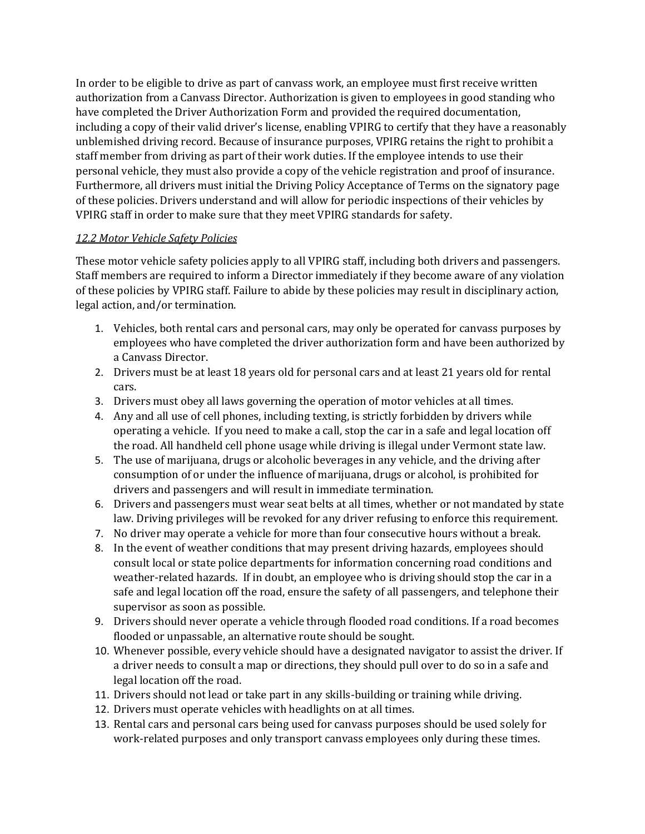In order to be eligible to drive as part of canvass work, an employee must first receive written authorization from a Canvass Director. Authorization is given to employees in good standing who have completed the Driver Authorization Form and provided the required documentation, including a copy of their valid driver's license, enabling VPIRG to certify that they have a reasonably unblemished driving record. Because of insurance purposes, VPIRG retains the right to prohibit a staff member from driving as part of their work duties. If the employee intends to use their personal vehicle, they must also provide a copy of the vehicle registration and proof of insurance. Furthermore, all drivers must initial the Driving Policy Acceptance of Terms on the signatory page of these policies. Drivers understand and will allow for periodic inspections of their vehicles by VPIRG staff in order to make sure that they meet VPIRG standards for safety.

### *12.2 Motor Vehicle Safety Policies*

These motor vehicle safety policies apply to all VPIRG staff, including both drivers and passengers. Staff members are required to inform a Director immediately if they become aware of any violation of these policies by VPIRG staff. Failure to abide by these policies may result in disciplinary action, legal action, and/or termination.

- 1. Vehicles, both rental cars and personal cars, may only be operated for canvass purposes by employees who have completed the driver authorization form and have been authorized by a Canvass Director.
- 2. Drivers must be at least 18 years old for personal cars and at least 21 years old for rental cars.
- 3. Drivers must obey all laws governing the operation of motor vehicles at all times.
- 4. Any and all use of cell phones, including texting, is strictly forbidden by drivers while operating a vehicle. If you need to make a call, stop the car in a safe and legal location off the road. All handheld cell phone usage while driving is illegal under Vermont state law.
- 5. The use of marijuana, drugs or alcoholic beverages in any vehicle, and the driving after consumption of or under the influence of marijuana, drugs or alcohol, is prohibited for drivers and passengers and will result in immediate termination.
- 6. Drivers and passengers must wear seat belts at all times, whether or not mandated by state law. Driving privileges will be revoked for any driver refusing to enforce this requirement.
- 7. No driver may operate a vehicle for more than four consecutive hours without a break.
- 8. In the event of weather conditions that may present driving hazards, employees should consult local or state police departments for information concerning road conditions and weather-related hazards. If in doubt, an employee who is driving should stop the car in a safe and legal location off the road, ensure the safety of all passengers, and telephone their supervisor as soon as possible.
- 9. Drivers should never operate a vehicle through flooded road conditions. If a road becomes flooded or unpassable, an alternative route should be sought.
- 10. Whenever possible, every vehicle should have a designated navigator to assist the driver. If a driver needs to consult a map or directions, they should pull over to do so in a safe and legal location off the road.
- 11. Drivers should not lead or take part in any skills-building or training while driving.
- 12. Drivers must operate vehicles with headlights on at all times.
- 13. Rental cars and personal cars being used for canvass purposes should be used solely for work-related purposes and only transport canvass employees only during these times.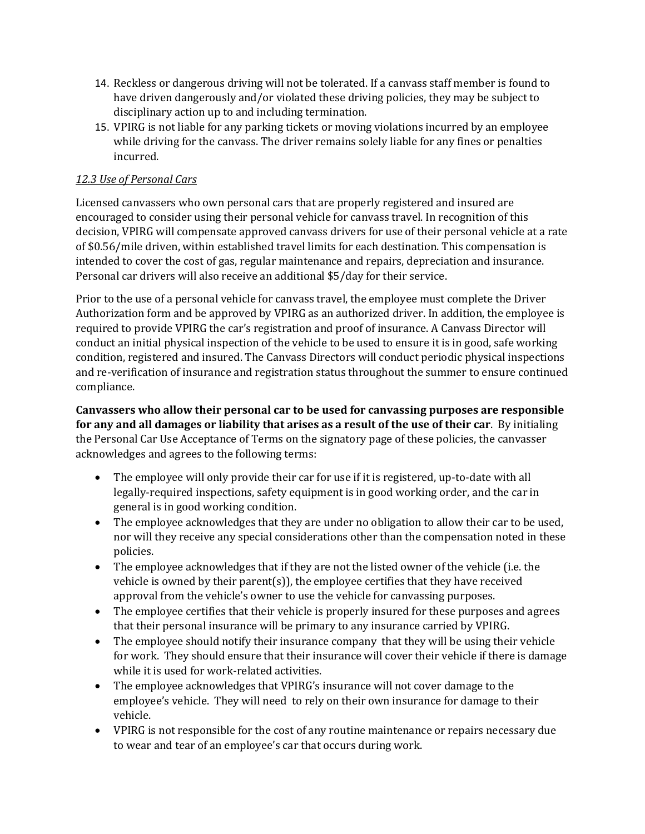- 14. Reckless or dangerous driving will not be tolerated. If a canvass staff member is found to have driven dangerously and/or violated these driving policies, they may be subject to disciplinary action up to and including termination.
- 15. VPIRG is not liable for any parking tickets or moving violations incurred by an employee while driving for the canvass. The driver remains solely liable for any fines or penalties incurred.

### *12.3 Use of Personal Cars*

Licensed canvassers who own personal cars that are properly registered and insured are encouraged to consider using their personal vehicle for canvass travel. In recognition of this decision, VPIRG will compensate approved canvass drivers for use of their personal vehicle at a rate of \$0.56/mile driven, within established travel limits for each destination. This compensation is intended to cover the cost of gas, regular maintenance and repairs, depreciation and insurance. Personal car drivers will also receive an additional \$5/day for their service.

Prior to the use of a personal vehicle for canvass travel, the employee must complete the Driver Authorization form and be approved by VPIRG as an authorized driver. In addition, the employee is required to provide VPIRG the car's registration and proof of insurance. A Canvass Director will conduct an initial physical inspection of the vehicle to be used to ensure it is in good, safe working condition, registered and insured. The Canvass Directors will conduct periodic physical inspections and re-verification of insurance and registration status throughout the summer to ensure continued compliance.

**Canvassers who allow their personal car to be used for canvassing purposes are responsible for any and all damages or liability that arises as a result of the use of their car**. By initialing the Personal Car Use Acceptance of Terms on the signatory page of these policies, the canvasser acknowledges and agrees to the following terms:

- The employee will only provide their car for use if it is registered, up-to-date with all legally-required inspections, safety equipment is in good working order, and the car in general is in good working condition.
- The employee acknowledges that they are under no obligation to allow their car to be used, nor will they receive any special considerations other than the compensation noted in these policies.
- The employee acknowledges that if they are not the listed owner of the vehicle (i.e. the vehicle is owned by their parent(s)), the employee certifies that they have received approval from the vehicle's owner to use the vehicle for canvassing purposes.
- The employee certifies that their vehicle is properly insured for these purposes and agrees that their personal insurance will be primary to any insurance carried by VPIRG.
- The employee should notify their insurance company that they will be using their vehicle for work. They should ensure that their insurance will cover their vehicle if there is damage while it is used for work-related activities.
- The employee acknowledges that VPIRG's insurance will not cover damage to the employee's vehicle. They will need to rely on their own insurance for damage to their vehicle.
- VPIRG is not responsible for the cost of any routine maintenance or repairs necessary due to wear and tear of an employee's car that occurs during work.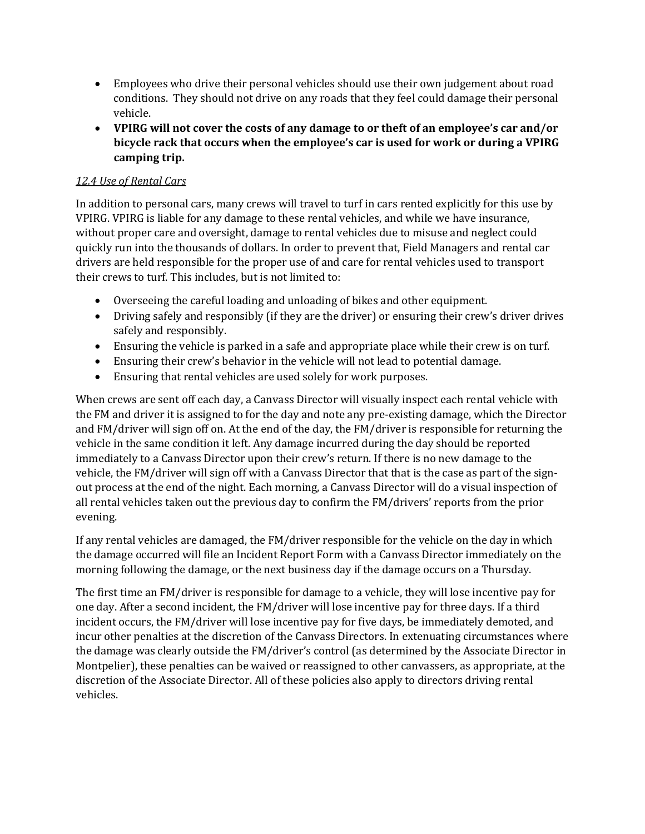- Employees who drive their personal vehicles should use their own judgement about road conditions. They should not drive on any roads that they feel could damage their personal vehicle.
- **VPIRG will not cover the costs of any damage to or theft of an employee's car and/or bicycle rack that occurs when the employee's car is used for work or during a VPIRG camping trip.**

### *12.4 Use of Rental Cars*

In addition to personal cars, many crews will travel to turf in cars rented explicitly for this use by VPIRG. VPIRG is liable for any damage to these rental vehicles, and while we have insurance, without proper care and oversight, damage to rental vehicles due to misuse and neglect could quickly run into the thousands of dollars. In order to prevent that, Field Managers and rental car drivers are held responsible for the proper use of and care for rental vehicles used to transport their crews to turf. This includes, but is not limited to:

- Overseeing the careful loading and unloading of bikes and other equipment.
- Driving safely and responsibly (if they are the driver) or ensuring their crew's driver drives safely and responsibly.
- Ensuring the vehicle is parked in a safe and appropriate place while their crew is on turf.
- Ensuring their crew's behavior in the vehicle will not lead to potential damage.
- Ensuring that rental vehicles are used solely for work purposes.

When crews are sent off each day, a Canvass Director will visually inspect each rental vehicle with the FM and driver it is assigned to for the day and note any pre-existing damage, which the Director and FM/driver will sign off on. At the end of the day, the FM/driver is responsible for returning the vehicle in the same condition it left. Any damage incurred during the day should be reported immediately to a Canvass Director upon their crew's return. If there is no new damage to the vehicle, the FM/driver will sign off with a Canvass Director that that is the case as part of the signout process at the end of the night. Each morning, a Canvass Director will do a visual inspection of all rental vehicles taken out the previous day to confirm the FM/drivers' reports from the prior evening.

If any rental vehicles are damaged, the FM/driver responsible for the vehicle on the day in which the damage occurred will file an Incident Report Form with a Canvass Director immediately on the morning following the damage, or the next business day if the damage occurs on a Thursday.

The first time an FM/driver is responsible for damage to a vehicle, they will lose incentive pay for one day. After a second incident, the FM/driver will lose incentive pay for three days. If a third incident occurs, the FM/driver will lose incentive pay for five days, be immediately demoted, and incur other penalties at the discretion of the Canvass Directors. In extenuating circumstances where the damage was clearly outside the FM/driver's control (as determined by the Associate Director in Montpelier), these penalties can be waived or reassigned to other canvassers, as appropriate, at the discretion of the Associate Director. All of these policies also apply to directors driving rental vehicles.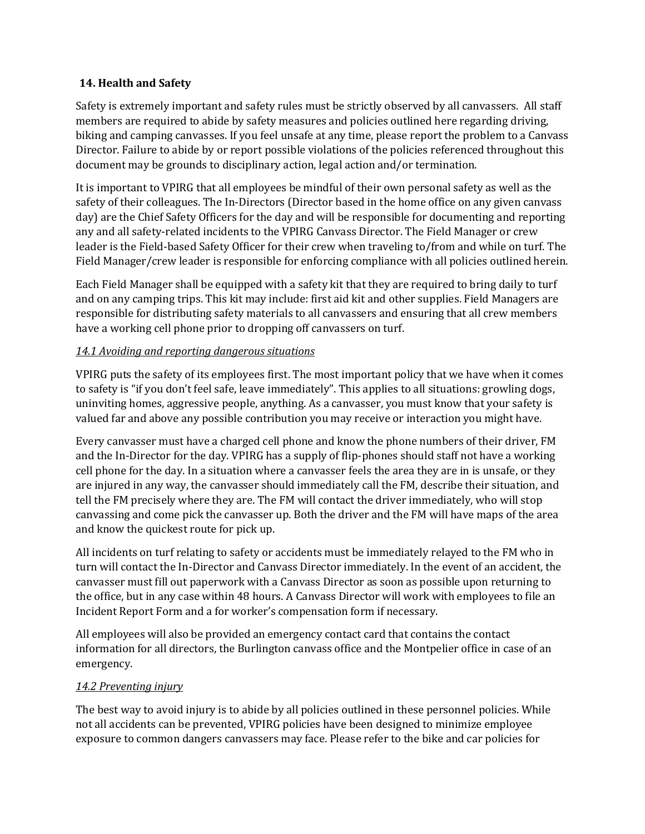#### **14. Health and Safety**

Safety is extremely important and safety rules must be strictly observed by all canvassers. All staff members are required to abide by safety measures and policies outlined here regarding driving, biking and camping canvasses. If you feel unsafe at any time, please report the problem to a Canvass Director. Failure to abide by or report possible violations of the policies referenced throughout this document may be grounds to disciplinary action, legal action and/or termination.

It is important to VPIRG that all employees be mindful of their own personal safety as well as the safety of their colleagues. The In-Directors (Director based in the home office on any given canvass day) are the Chief Safety Officers for the day and will be responsible for documenting and reporting any and all safety-related incidents to the VPIRG Canvass Director. The Field Manager or crew leader is the Field-based Safety Officer for their crew when traveling to/from and while on turf. The Field Manager/crew leader is responsible for enforcing compliance with all policies outlined herein.

Each Field Manager shall be equipped with a safety kit that they are required to bring daily to turf and on any camping trips. This kit may include: first aid kit and other supplies. Field Managers are responsible for distributing safety materials to all canvassers and ensuring that all crew members have a working cell phone prior to dropping off canvassers on turf.

### *14.1 Avoiding and reporting dangerous situations*

VPIRG puts the safety of its employees first. The most important policy that we have when it comes to safety is "if you don't feel safe, leave immediately". This applies to all situations: growling dogs, uninviting homes, aggressive people, anything. As a canvasser, you must know that your safety is valued far and above any possible contribution you may receive or interaction you might have.

Every canvasser must have a charged cell phone and know the phone numbers of their driver, FM and the In-Director for the day. VPIRG has a supply of flip-phones should staff not have a working cell phone for the day. In a situation where a canvasser feels the area they are in is unsafe, or they are injured in any way, the canvasser should immediately call the FM, describe their situation, and tell the FM precisely where they are. The FM will contact the driver immediately, who will stop canvassing and come pick the canvasser up. Both the driver and the FM will have maps of the area and know the quickest route for pick up.

All incidents on turf relating to safety or accidents must be immediately relayed to the FM who in turn will contact the In-Director and Canvass Director immediately. In the event of an accident, the canvasser must fill out paperwork with a Canvass Director as soon as possible upon returning to the office, but in any case within 48 hours. A Canvass Director will work with employees to file an Incident Report Form and a for worker's compensation form if necessary.

All employees will also be provided an emergency contact card that contains the contact information for all directors, the Burlington canvass office and the Montpelier office in case of an emergency.

### *14.2 Preventing injury*

The best way to avoid injury is to abide by all policies outlined in these personnel policies. While not all accidents can be prevented, VPIRG policies have been designed to minimize employee exposure to common dangers canvassers may face. Please refer to the bike and car policies for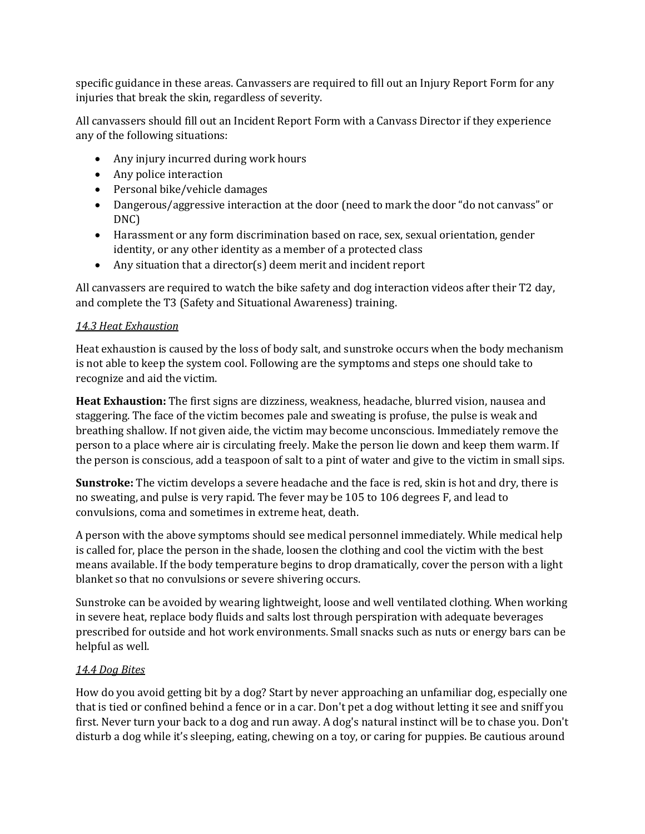specific guidance in these areas. Canvassers are required to fill out an Injury Report Form for any injuries that break the skin, regardless of severity.

All canvassers should fill out an Incident Report Form with a Canvass Director if they experience any of the following situations:

- Any injury incurred during work hours
- Any police interaction
- Personal bike/vehicle damages
- Dangerous/aggressive interaction at the door (need to mark the door "do not canvass" or DNC)
- Harassment or any form discrimination based on race, sex, sexual orientation, gender identity, or any other identity as a member of a protected class
- Any situation that a director(s) deem merit and incident report

All canvassers are required to watch the bike safety and dog interaction videos after their T2 day, and complete the T3 (Safety and Situational Awareness) training.

#### *14.3 Heat Exhaustion*

Heat exhaustion is caused by the loss of body salt, and sunstroke occurs when the body mechanism is not able to keep the system cool. Following are the symptoms and steps one should take to recognize and aid the victim.

**Heat Exhaustion:** The first signs are dizziness, weakness, headache, blurred vision, nausea and staggering. The face of the victim becomes pale and sweating is profuse, the pulse is weak and breathing shallow. If not given aide, the victim may become unconscious. Immediately remove the person to a place where air is circulating freely. Make the person lie down and keep them warm. If the person is conscious, add a teaspoon of salt to a pint of water and give to the victim in small sips.

**Sunstroke:** The victim develops a severe headache and the face is red, skin is hot and dry, there is no sweating, and pulse is very rapid. The fever may be 105 to 106 degrees F, and lead to convulsions, coma and sometimes in extreme heat, death.

A person with the above symptoms should see medical personnel immediately. While medical help is called for, place the person in the shade, loosen the clothing and cool the victim with the best means available. If the body temperature begins to drop dramatically, cover the person with a light blanket so that no convulsions or severe shivering occurs.

Sunstroke can be avoided by wearing lightweight, loose and well ventilated clothing. When working in severe heat, replace body fluids and salts lost through perspiration with adequate beverages prescribed for outside and hot work environments. Small snacks such as nuts or energy bars can be helpful as well.

#### *14.4 Dog Bites*

How do you avoid getting bit by a dog? Start by never approaching an unfamiliar dog, especially one that is tied or confined behind a fence or in a car. Don't pet a dog without letting it see and sniff you first. Never turn your back to a dog and run away. A dog's natural instinct will be to chase you. Don't disturb a dog while it's sleeping, eating, chewing on a toy, or caring for puppies. Be cautious around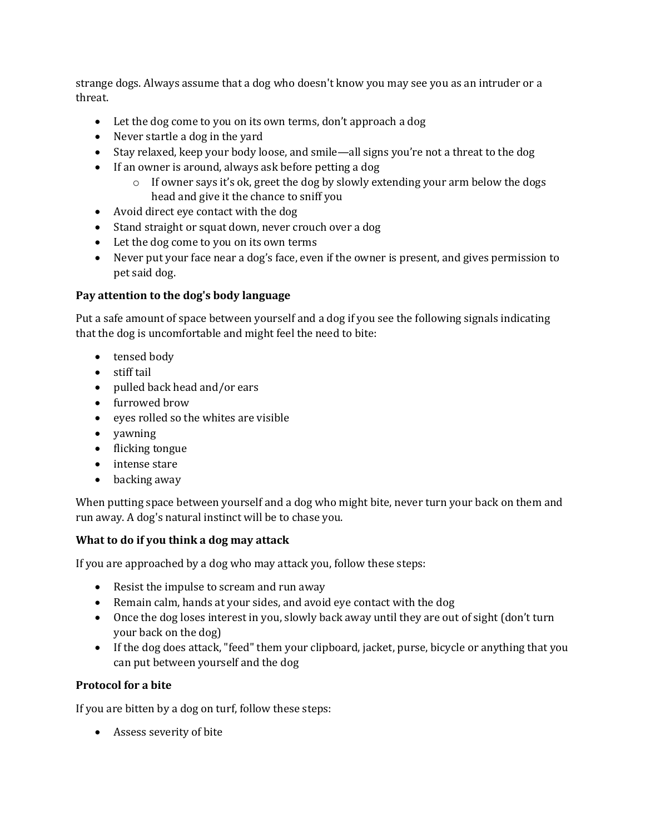strange dogs. Always assume that a dog who doesn't know you may see you as an intruder or a threat.

- Let the dog come to you on its own terms, don't approach a dog
- Never startle a dog in the yard
- Stay relaxed, keep your body loose, and smile—all signs you're not a threat to the dog
- If an owner is around, always ask before petting a dog
	- o If owner says it's ok, greet the dog by slowly extending your arm below the dogs head and give it the chance to sniff you
- Avoid direct eye contact with the dog
- Stand straight or squat down, never crouch over a dog
- Let the dog come to you on its own terms
- Never put your face near a dog's face, even if the owner is present, and gives permission to pet said dog.

## **Pay attention to the dog's body language**

Put a safe amount of space between yourself and a dog if you see the following signals indicating that the dog is uncomfortable and might feel the need to bite:

- tensed body
- stiff tail
- pulled back head and/or ears
- furrowed brow
- eyes rolled so the whites are visible
- yawning
- flicking tongue
- intense stare
- backing away

When putting space between yourself and a dog who might bite, never turn your back on them and run away. A dog's natural instinct will be to chase you.

### **What to do if you think a dog may attack**

If you are approached by a dog who may attack you, follow these steps:

- Resist the impulse to scream and run away
- Remain calm, hands at your sides, and avoid eye contact with the dog
- Once the dog loses interest in you, slowly back away until they are out of sight (don't turn your back on the dog)
- If the dog does attack, "feed" them your clipboard, jacket, purse, bicycle or anything that you can put between yourself and the dog

### **Protocol for a bite**

If you are bitten by a dog on turf, follow these steps:

• Assess severity of bite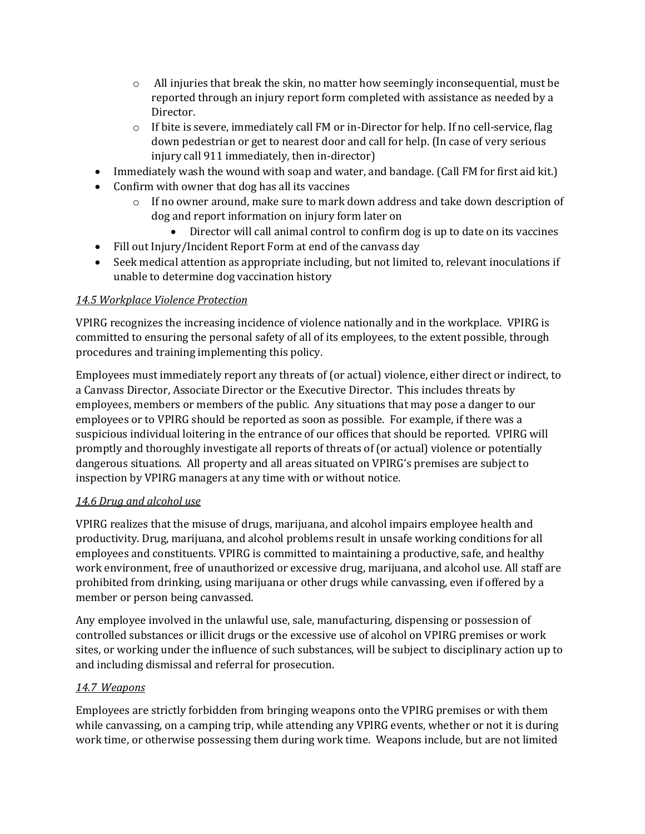- $\circ$  All injuries that break the skin, no matter how seemingly inconsequential, must be reported through an injury report form completed with assistance as needed by a Director.
- $\circ$  If bite is severe, immediately call FM or in-Director for help. If no cell-service, flag down pedestrian or get to nearest door and call for help. (In case of very serious injury call 911 immediately, then in-director)
- Immediately wash the wound with soap and water, and bandage. (Call FM for first aid kit.)
- Confirm with owner that dog has all its vaccines
	- $\circ$  If no owner around, make sure to mark down address and take down description of dog and report information on injury form later on
		- Director will call animal control to confirm dog is up to date on its vaccines
- Fill out Injury/Incident Report Form at end of the canvass day
- Seek medical attention as appropriate including, but not limited to, relevant inoculations if unable to determine dog vaccination history

### *14.5 Workplace Violence Protection*

VPIRG recognizes the increasing incidence of violence nationally and in the workplace. VPIRG is committed to ensuring the personal safety of all of its employees, to the extent possible, through procedures and training implementing this policy.

Employees must immediately report any threats of (or actual) violence, either direct or indirect, to a Canvass Director, Associate Director or the Executive Director. This includes threats by employees, members or members of the public. Any situations that may pose a danger to our employees or to VPIRG should be reported as soon as possible. For example, if there was a suspicious individual loitering in the entrance of our offices that should be reported. VPIRG will promptly and thoroughly investigate all reports of threats of (or actual) violence or potentially dangerous situations. All property and all areas situated on VPIRG's premises are subject to inspection by VPIRG managers at any time with or without notice.

### *14.6 Drug and alcohol use*

VPIRG realizes that the misuse of drugs, marijuana, and alcohol impairs employee health and productivity. Drug, marijuana, and alcohol problems result in unsafe working conditions for all employees and constituents. VPIRG is committed to maintaining a productive, safe, and healthy work environment, free of unauthorized or excessive drug, marijuana, and alcohol use. All staff are prohibited from drinking, using marijuana or other drugs while canvassing, even if offered by a member or person being canvassed.

Any employee involved in the unlawful use, sale, manufacturing, dispensing or possession of controlled substances or illicit drugs or the excessive use of alcohol on VPIRG premises or work sites, or working under the influence of such substances, will be subject to disciplinary action up to and including dismissal and referral for prosecution.

### *14.7 Weapons*

Employees are strictly forbidden from bringing weapons onto the VPIRG premises or with them while canvassing, on a camping trip, while attending any VPIRG events, whether or not it is during work time, or otherwise possessing them during work time. Weapons include, but are not limited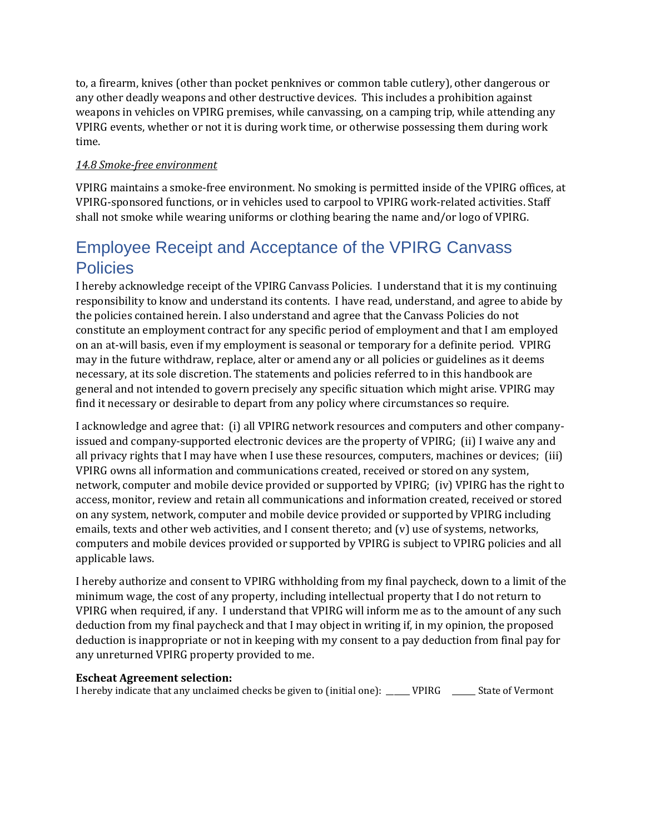to, a firearm, knives (other than pocket penknives or common table cutlery), other dangerous or any other deadly weapons and other destructive devices. This includes a prohibition against weapons in vehicles on VPIRG premises, while canvassing, on a camping trip, while attending any VPIRG events, whether or not it is during work time, or otherwise possessing them during work time.

### *14.8 Smoke-free environment*

VPIRG maintains a smoke-free environment. No smoking is permitted inside of the VPIRG offices, at VPIRG-sponsored functions, or in vehicles used to carpool to VPIRG work-related activities. Staff shall not smoke while wearing uniforms or clothing bearing the name and/or logo of VPIRG.

# Employee Receipt and Acceptance of the VPIRG Canvass **Policies**

I hereby acknowledge receipt of the VPIRG Canvass Policies. I understand that it is my continuing responsibility to know and understand its contents. I have read, understand, and agree to abide by the policies contained herein. I also understand and agree that the Canvass Policies do not constitute an employment contract for any specific period of employment and that I am employed on an at-will basis, even if my employment is seasonal or temporary for a definite period. VPIRG may in the future withdraw, replace, alter or amend any or all policies or guidelines as it deems necessary, at its sole discretion. The statements and policies referred to in this handbook are general and not intended to govern precisely any specific situation which might arise. VPIRG may find it necessary or desirable to depart from any policy where circumstances so require.

I acknowledge and agree that: (i) all VPIRG network resources and computers and other companyissued and company-supported electronic devices are the property of VPIRG; (ii) I waive any and all privacy rights that I may have when I use these resources, computers, machines or devices; (iii) VPIRG owns all information and communications created, received or stored on any system, network, computer and mobile device provided or supported by VPIRG; (iv) VPIRG has the right to access, monitor, review and retain all communications and information created, received or stored on any system, network, computer and mobile device provided or supported by VPIRG including emails, texts and other web activities, and I consent thereto; and (v) use of systems, networks, computers and mobile devices provided or supported by VPIRG is subject to VPIRG policies and all applicable laws.

I hereby authorize and consent to VPIRG withholding from my final paycheck, down to a limit of the minimum wage, the cost of any property, including intellectual property that I do not return to VPIRG when required, if any. I understand that VPIRG will inform me as to the amount of any such deduction from my final paycheck and that I may object in writing if, in my opinion, the proposed deduction is inappropriate or not in keeping with my consent to a pay deduction from final pay for any unreturned VPIRG property provided to me.

#### **Escheat Agreement selection:**

I hereby indicate that any unclaimed checks be given to (initial one): \_\_\_\_\_\_ VPIRG \_\_\_\_\_\_ State of Vermont